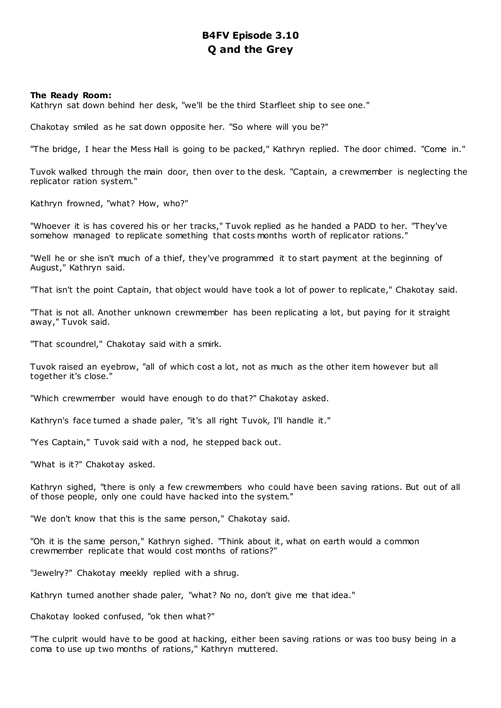# **B4FV Episode 3.10 Q and the Grey**

# **The Ready Room:**

Kathryn sat down behind her desk, "we'll be the third Starfleet ship to see one."

Chakotay smiled as he sat down opposite her. "So where will you be?"

"The bridge, I hear the Mess Hall is going to be packed," Kathryn replied. The door chimed. "Come in."

Tuvok walked through the main door, then over to the desk. "Captain, a crewmember is neglecting the replicator ration system."

Kathryn frowned, "what? How, who?"

"Whoever it is has covered his or her tracks," Tuvok replied as he handed a PADD to her. "They've somehow managed to replicate something that costs months worth of replicator rations."

"Well he or she isn't much of a thief, they've programmed it to start payment at the beginning of August," Kathryn said.

"That isn't the point Captain, that object would have took a lot of power to replicate," Chakotay said.

"That is not all. Another unknown crewmember has been replicating a lot, but paying for it straight away," Tuvok said.

"That scoundrel," Chakotay said with a smirk.

Tuvok raised an eyebrow, "all of which cost a lot, not as much as the other item however but all together it's close."

"Which crewmember would have enough to do that?" Chakotay asked.

Kathryn's face turned a shade paler, "it's all right Tuvok, I'll handle it."

"Yes Captain," Tuvok said with a nod, he stepped back out.

"What is it?" Chakotay asked.

Kathryn sighed, "there is only a few crewmembers who could have been saving rations. But out of all of those people, only one could have hacked into the system."

"We don't know that this is the same person," Chakotay said.

"Oh it is the same person," Kathryn sighed. "Think about it, what on earth would a common crewmember replicate that would cost months of rations?"

"Jewelry?" Chakotay meekly replied with a shrug.

Kathryn turned another shade paler, "what? No no, don't give me that idea."

Chakotay looked confused, "ok then what?"

"The culprit would have to be good at hacking, either been saving rations or was too busy being in a coma to use up two months of rations," Kathryn muttered.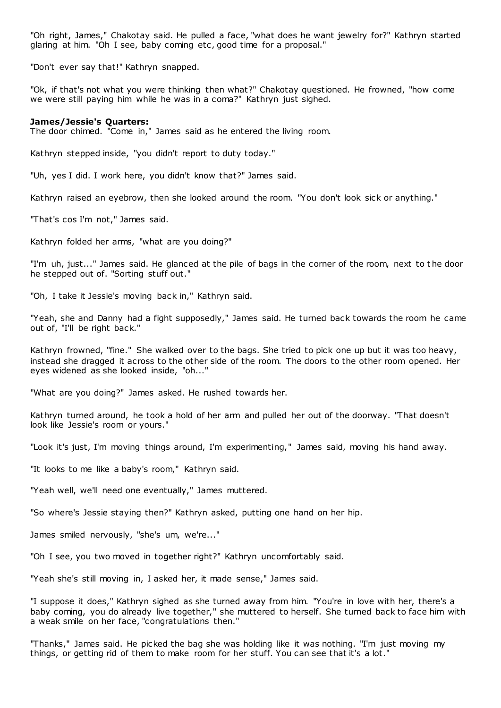"Oh right, James," Chakotay said. He pulled a face, "what does he want jewelry for?" Kathryn started glaring at him. "Oh I see, baby coming etc, good time for a proposal."

"Don't ever say that!" Kathryn snapped.

"Ok, if that's not what you were thinking then what?" Chakotay questioned. He frowned, "how come we were still paying him while he was in a coma?" Kathryn just sighed.

### **James/Jessie's Quarters:**

The door chimed. "Come in," James said as he entered the living room.

Kathryn stepped inside, "you didn't report to duty today."

"Uh, yes I did. I work here, you didn't know that?" James said.

Kathryn raised an eyebrow, then she looked around the room. "You don't look sick or anything."

"That's cos I'm not," James said.

Kathryn folded her arms, "what are you doing?"

"I'm uh, just..." James said. He glanced at the pile of bags in the corner of the room, next to t he door he stepped out of. "Sorting stuff out."

"Oh, I take it Jessie's moving back in," Kathryn said.

"Yeah, she and Danny had a fight supposedly," James said. He turned back towards the room he came out of, "I'll be right back."

Kathryn frowned, "fine." She walked over to the bags. She tried to pick one up but it was too heavy, instead she dragged it across to the other side of the room. The doors to the other room opened. Her eyes widened as she looked inside, "oh..."

"What are you doing?" James asked. He rushed towards her.

Kathryn turned around, he took a hold of her arm and pulled her out of the doorway. "That doesn't look like Jessie's room or yours."

"Look it's just, I'm moving things around, I'm experimenting," James said, moving his hand away.

"It looks to me like a baby's room," Kathryn said.

"Yeah well, we'll need one eventually," James muttered.

"So where's Jessie staying then?" Kathryn asked, putting one hand on her hip.

James smiled nervously, "she's um, we're..."

"Oh I see, you two moved in together right?" Kathryn uncomfortably said.

"Yeah she's still moving in, I asked her, it made sense," James said.

"I suppose it does," Kathryn sighed as she turned away from him. "You're in love with her, there's a baby coming, you do already live together," she muttered to herself. She turned back to face him with a weak smile on her face, "congratulations then."

"Thanks," James said. He picked the bag she was holding like it was nothing. "I'm just moving my things, or getting rid of them to make room for her stuff. You can see that it's a lot."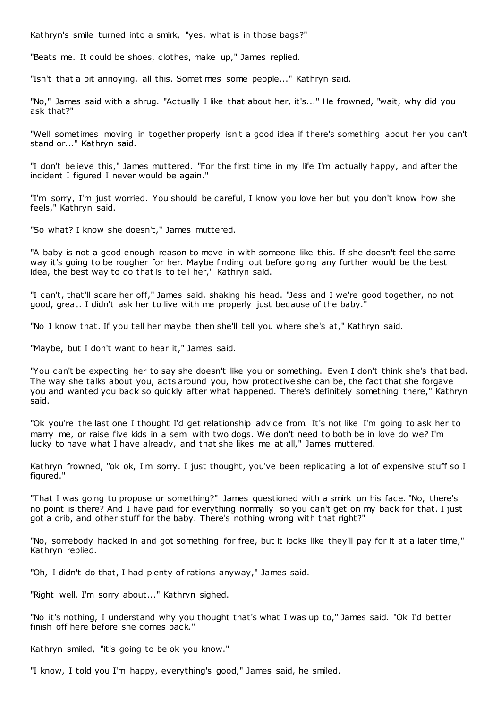Kathryn's smile turned into a smirk, "yes, what is in those bags?"

"Beats me. It could be shoes, clothes, make up," James replied.

"Isn't that a bit annoying, all this. Sometimes some people..." Kathryn said.

"No," James said with a shrug. "Actually I like that about her, it's..." He frowned, "wait, why did you ask that?"

"Well sometimes moving in together properly isn't a good idea if there's something about her you can't stand or..." Kathryn said.

"I don't believe this," James muttered. "For the first time in my life I'm actually happy, and after the incident I figured I never would be again."

"I'm sorry, I'm just worried. You should be careful, I know you love her but you don't know how she feels," Kathryn said.

"So what? I know she doesn't," James muttered.

"A baby is not a good enough reason to move in with someone like this. If she doesn't feel the same way it's going to be rougher for her. Maybe finding out before going any further would be the best idea, the best way to do that is to tell her," Kathryn said.

"I can't, that'll scare her off," James said, shaking his head. "Jess and I we're good together, no not good, great. I didn't ask her to live with me properly just because of the baby."

"No I know that. If you tell her maybe then she'll tell you where she's at," Kathryn said.

"Maybe, but I don't want to hear it," James said.

"You can't be expecting her to say she doesn't like you or something. Even I don't think she's that bad. The way she talks about you, acts around you, how protective she can be, the fact that she forgave you and wanted you back so quickly after what happened. There's definitely something there," Kathryn said.

"Ok you're the last one I thought I'd get relationship advice from. It's not like I'm going to ask her to marry me, or raise five kids in a semi with two dogs. We don't need to both be in love do we? I'm lucky to have what I have already, and that she likes me at all," James muttered.

Kathryn frowned, "ok ok, I'm sorry. I just thought, you've been replicating a lot of expensive stuff so I figured."

"That I was going to propose or something?" James questioned with a smirk on his face. "No, there's no point is there? And I have paid for everything normally so you can't get on my back for that. I just got a crib, and other stuff for the baby. There's nothing wrong with that right?"

"No, somebody hacked in and got something for free, but it looks like they'll pay for it at a later time," Kathryn replied.

"Oh, I didn't do that, I had plenty of rations anyway," James said.

"Right well, I'm sorry about..." Kathryn sighed.

"No it's nothing, I understand why you thought that's what I was up to," James said. "Ok I'd better finish off here before she comes back."

Kathryn smiled, "it's going to be ok you know."

"I know, I told you I'm happy, everything's good," James said, he smiled.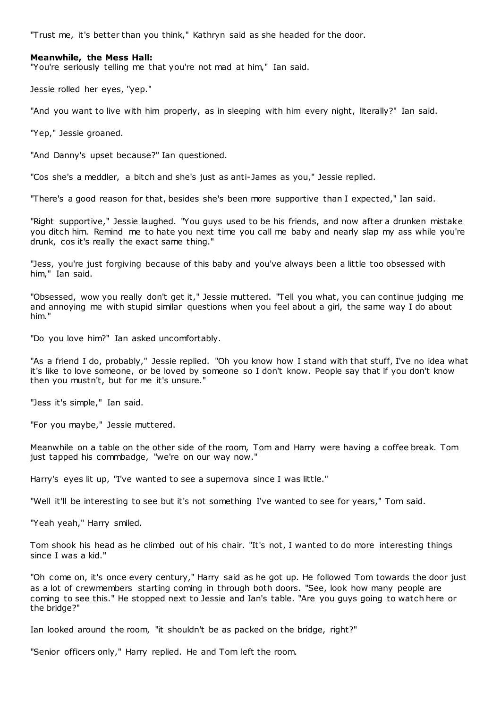"Trust me, it's better than you think," Kathryn said as she headed for the door.

# **Meanwhile, the Mess Hall:**

"You're seriously telling me that you're not mad at him," Ian said.

Jessie rolled her eyes, "yep."

"And you want to live with him properly, as in sleeping with him every night, literally?" Ian said.

"Yep," Jessie groaned.

"And Danny's upset because?" Ian questioned.

"Cos she's a meddler, a bitch and she's just as anti-James as you," Jessie replied.

"There's a good reason for that, besides she's been more supportive than I expected," Ian said.

"Right supportive," Jessie laughed. "You guys used to be his friends, and now after a drunken mistake you ditch him. Remind me to hate you next time you call me baby and nearly slap my ass while you're drunk, cos it's really the exact same thing."

"Jess, you're just forgiving because of this baby and you've always been a little too obsessed with him," Ian said.

"Obsessed, wow you really don't get it," Jessie muttered. "Tell you what, you can continue judging me and annoying me with stupid similar questions when you feel about a girl, the same way I do about him."

"Do you love him?" Ian asked uncomfortably.

"As a friend I do, probably," Jessie replied. "Oh you know how I stand with that stuff, I've no idea what it's like to love someone, or be loved by someone so I don't know. People say that if you don't know then you mustn't, but for me it's unsure."

"Jess it's simple," Ian said.

"For you maybe," Jessie muttered.

Meanwhile on a table on the other side of the room, Tom and Harry were having a coffee break. Tom just tapped his commbadge, "we're on our way now."

Harry's eyes lit up, "I've wanted to see a supernova since I was little."

"Well it'll be interesting to see but it's not something I've wanted to see for years," Tom said.

"Yeah yeah," Harry smiled.

Tom shook his head as he climbed out of his chair. "It's not, I wanted to do more interesting things since I was a kid."

"Oh come on, it's once every century," Harry said as he got up. He followed Tom towards the door just as a lot of crewmembers starting coming in through both doors. "See, look how many people are coming to see this." He stopped next to Jessie and Ian's table. "Are you guys going to watch here or the bridge?"

Ian looked around the room, "it shouldn't be as packed on the bridge, right?"

"Senior officers only," Harry replied. He and Tom left the room.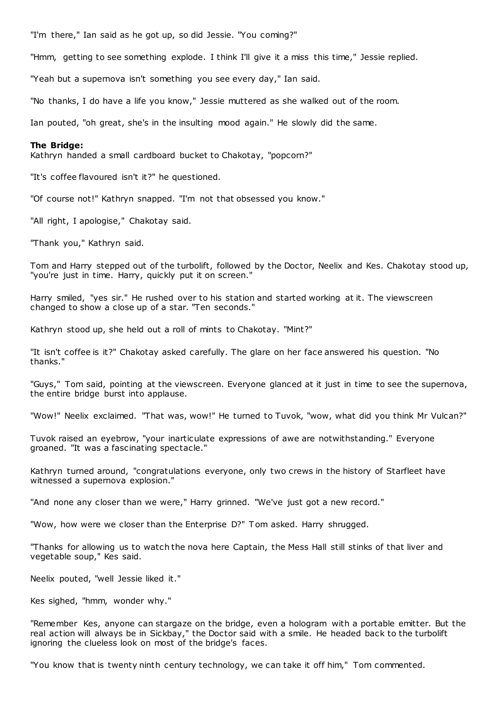"I'm there," Ian said as he got up, so did Jessie. "You coming?"

"Hmm, getting to see something explode. I think I'll give it a miss this time," Jessie replied.

"Yeah but a supernova isn't something you see every day," Ian said.

"No thanks, I do have a life you know," Jessie muttered as she walked out of the room.

Ian pouted, "oh great, she's in the insulting mood again." He slowly did the same.

# **The Bridge:**

Kathryn handed a small cardboard bucket to Chakotay, "popcorn?"

"It's coffee flavoured isn't it?" he questioned.

"Of course not!" Kathryn snapped. "I'm not that obsessed you know."

"All right, I apologise," Chakotay said.

"Thank you," Kathryn said.

Tom and Harry stepped out of the turbolift, followed by the Doctor, Neelix and Kes. Chakotay stood up, "you're just in time. Harry, quickly put it on screen."

Harry smiled, "yes sir." He rushed over to his station and started working at it. The viewscreen changed to show a close up of a star. "Ten seconds."

Kathryn stood up, she held out a roll of mints to Chakotay. "Mint?"

"It isn't coffee is it?" Chakotay asked carefully. The glare on her face answered his question. "No thanks."

"Guys," Tom said, pointing at the viewscreen. Everyone glanced at it just in time to see the supernova, the entire bridge burst into applause.

"Wow!" Neelix exclaimed. "That was, wow!" He turned to Tuvok, "wow, what did you think Mr Vulcan?"

Tuvok raised an eyebrow, "your inarticulate expressions of awe are notwithstanding." Everyone groaned. "It was a fascinating spectacle."

Kathryn turned around, "congratulations everyone, only two crews in the history of Starfleet have witnessed a supernova explosion."

"And none any closer than we were," Harry grinned. "We've just got a new record."

"Wow, how were we closer than the Enterprise D?" Tom asked. Harry shrugged.

"Thanks for allowing us to watch the nova here Captain, the Mess Hall still stinks of that liver and vegetable soup," Kes said.

Neelix pouted, "well Jessie liked it."

Kes sighed, "hmm, wonder why."

"Remember Kes, anyone can stargaze on the bridge, even a hologram with a portable emitter. But the real action will always be in Sickbay," the Doctor said with a smile. He headed back to the turbolift ignoring the clueless look on most of the bridge's faces.

"You know that is twenty ninth century technology, we can take it off him," Tom commented.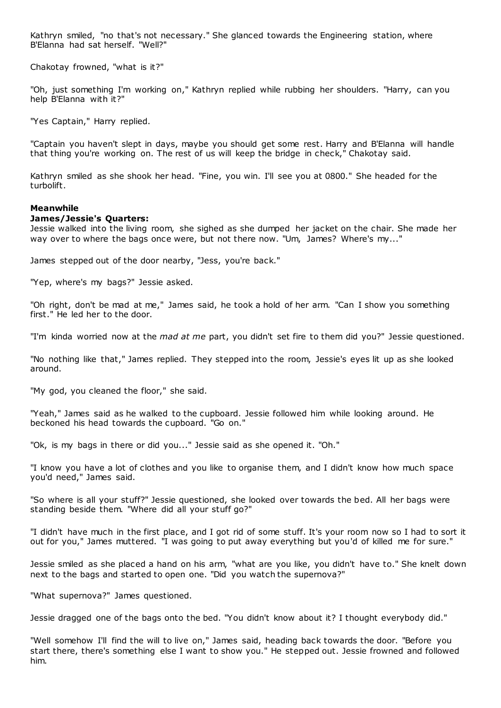Kathryn smiled, "no that's not necessary." She glanced towards the Engineering station, where B'Elanna had sat herself. "Well?"

Chakotay frowned, "what is it?"

"Oh, just something I'm working on," Kathryn replied while rubbing her shoulders. "Harry, can you help B'Elanna with it?"

"Yes Captain," Harry replied.

"Captain you haven't slept in days, maybe you should get some rest. Harry and B'Elanna will handle that thing you're working on. The rest of us will keep the bridge in check," Chakotay said.

Kathryn smiled as she shook her head. "Fine, you win. I'll see you at 0800." She headed for the turbolift.

# **Meanwhile**

# **James/Jessie's Quarters:**

Jessie walked into the living room, she sighed as she dumped her jacket on the chair. She made her way over to where the bags once were, but not there now. "Um, James? Where's my..."

James stepped out of the door nearby, "Jess, you're back."

"Yep, where's my bags?" Jessie asked.

"Oh right, don't be mad at me," James said, he took a hold of her arm. "Can I show you something first." He led her to the door.

"I'm kinda worried now at the *mad at me* part, you didn't set fire to them did you?" Jessie questioned.

"No nothing like that," James replied. They stepped into the room, Jessie's eyes lit up as she looked around.

"My god, you cleaned the floor," she said.

"Yeah," James said as he walked to the cupboard. Jessie followed him while looking around. He beckoned his head towards the cupboard. "Go on."

"Ok, is my bags in there or did you..." Jessie said as she opened it. "Oh."

"I know you have a lot of clothes and you like to organise them, and I didn't know how much space you'd need," James said.

"So where is all your stuff?" Jessie questioned, she looked over towards the bed. All her bags were standing beside them. "Where did all your stuff go?"

"I didn't have much in the first place, and I got rid of some stuff. It's your room now so I had to sort it out for you," James muttered. "I was going to put away everything but you'd of killed me for sure."

Jessie smiled as she placed a hand on his arm, "what are you like, you didn't have to." She knelt down next to the bags and started to open one. "Did you watch the supernova?"

"What supernova?" James questioned.

Jessie dragged one of the bags onto the bed. "You didn't know about it? I thought everybody did."

"Well somehow I'll find the will to live on," James said, heading back towards the door. "Before you start there, there's something else I want to show you." He stepped out. Jessie frowned and followed him.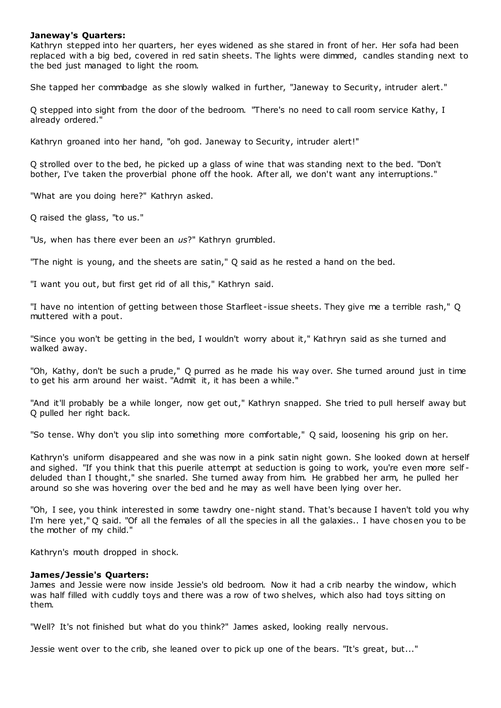# **Janeway's Quarters:**

Kathryn stepped into her quarters, her eyes widened as she stared in front of her. Her sofa had been replaced with a big bed, covered in red satin sheets. The lights were dimmed, candles standing next to the bed just managed to light the room.

She tapped her commbadge as she slowly walked in further, "Janeway to Security, intruder alert."

Q stepped into sight from the door of the bedroom. "There's no need to call room service Kathy, I already ordered."

Kathryn groaned into her hand, "oh god. Janeway to Security, intruder alert!"

Q strolled over to the bed, he picked up a glass of wine that was standing next to the bed. "Don't bother, I've taken the proverbial phone off the hook. After all, we don't want any interruptions."

"What are you doing here?" Kathryn asked.

Q raised the glass, "to us."

"Us, when has there ever been an *us*?" Kathryn grumbled.

"The night is young, and the sheets are satin," Q said as he rested a hand on the bed.

"I want you out, but first get rid of all this," Kathryn said.

"I have no intention of getting between those Starfleet -issue sheets. They give me a terrible rash," Q muttered with a pout.

"Since you won't be getting in the bed, I wouldn't worry about it," Kathryn said as she turned and walked away.

"Oh, Kathy, don't be such a prude," Q purred as he made his way over. She turned around just in time to get his arm around her waist. "Admit it, it has been a while."

"And it'll probably be a while longer, now get out," Kathryn snapped. She tried to pull herself away but Q pulled her right back.

"So tense. Why don't you slip into something more comfortable," Q said, loosening his grip on her.

Kathryn's uniform disappeared and she was now in a pink satin night gown. She looked down at herself and sighed. "If you think that this puerile attempt at seduction is going to work, you're even more selfdeluded than I thought," she snarled. She turned away from him. He grabbed her arm, he pulled her around so she was hovering over the bed and he may as well have been lying over her.

"Oh, I see, you think interested in some tawdry one-night stand. That's because I haven't told you why I'm here yet," Q said. "Of all the females of all the species in all the galaxies.. I have chosen you to be the mother of my child."

Kathryn's mouth dropped in shock.

# **James/Jessie's Quarters:**

James and Jessie were now inside Jessie's old bedroom. Now it had a crib nearby the window, which was half filled with cuddly toys and there was a row of two shelves, which also had toys sitting on them.

"Well? It's not finished but what do you think?" James asked, looking really nervous.

Jessie went over to the crib, she leaned over to pick up one of the bears. "It's great, but..."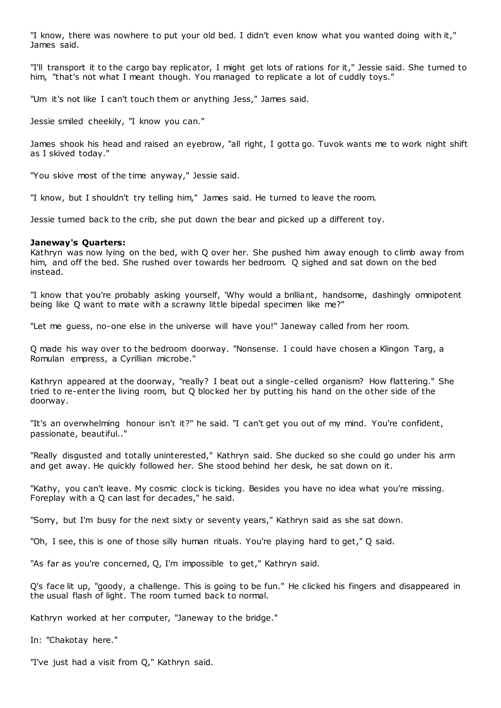"I know, there was nowhere to put your old bed. I didn't even know what you wanted doing with it," James said.

"I'll transport it to the cargo bay replicator, I might get lots of rations for it," Jessie said. She turned to him, "that's not what I meant though. You managed to replicate a lot of cuddly toys."

"Um it's not like I can't touch them or anything Jess," James said.

Jessie smiled cheekily, "I know you can."

James shook his head and raised an eyebrow, "all right, I gotta go. Tuvok wants me to work night shift as I skived today."

"You skive most of the time anyway," Jessie said.

"I know, but I shouldn't try telling him," James said. He turned to leave the room.

Jessie turned back to the crib, she put down the bear and picked up a different toy.

# **Janeway's Quarters:**

Kathryn was now lying on the bed, with Q over her. She pushed him away enough to climb away from him, and off the bed. She rushed over towards her bedroom. Q sighed and sat down on the bed instead.

"I know that you're probably asking yourself, 'Why would a brilliant, handsome, dashingly omnipotent being like Q want to mate with a scrawny little bipedal specimen like me?"

"Let me guess, no-one else in the universe will have you!" Janeway called from her room.

Q made his way over to the bedroom doorway. "Nonsense. I could have chosen a Klingon Targ, a Romulan empress, a Cyrillian microbe."

Kathryn appeared at the doorway, "really? I beat out a single-celled organism? How flattering." She tried to re-enter the living room, but Q blocked her by putting his hand on the other side of the doorway.

"It's an overwhelming honour isn't it?" he said. "I can't get you out of my mind. You're confident, passionate, beautiful.."

"Really disgusted and totally uninterested," Kathryn said. She ducked so she could go under his arm and get away. He quickly followed her. She stood behind her desk, he sat down on it.

"Kathy, you can't leave. My cosmic clock is ticking. Besides you have no idea what you're missing. Foreplay with a Q can last for decades," he said.

"Sorry, but I'm busy for the next sixty or seventy years," Kathryn said as she sat down.

"Oh, I see, this is one of those silly human rituals. You're playing hard to get," Q said.

"As far as you're concerned, Q, I'm impossible to get," Kathryn said.

Q's face lit up, "goody, a challenge. This is going to be fun." He clicked his fingers and disappeared in the usual flash of light. The room turned back to normal.

Kathryn worked at her computer, "Janeway to the bridge."

In: "Chakotay here."

"I've just had a visit from Q," Kathryn said.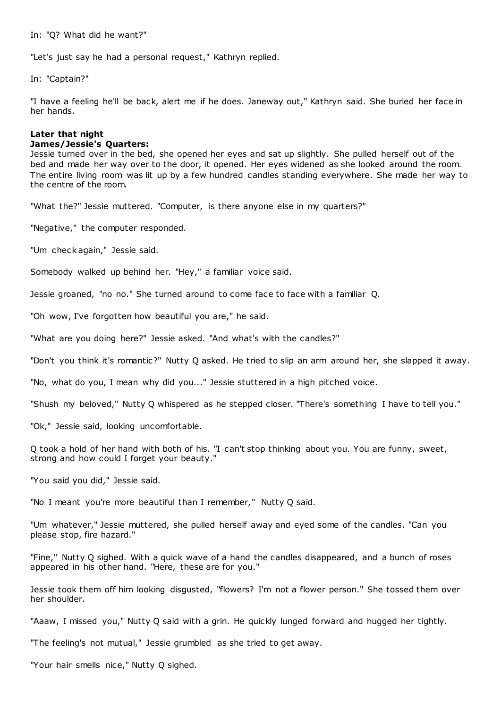In: "Q? What did he want?"

"Let's just say he had a personal request," Kathryn replied.

In: "Captain?"

"I have a feeling he'll be back, alert me if he does. Janeway out," Kathryn said. She buried her face in her hands.

# **Later that night James/Jessie's Quarters:**

Jessie turned over in the bed, she opened her eyes and sat up slightly. She pulled herself out of the bed and made her way over to the door, it opened. Her eyes widened as she looked around the room. The entire living room was lit up by a few hundred candles standing everywhere. She made her way to the centre of the room.

"What the?" Jessie muttered. "Computer, is there anyone else in my quarters?"

"Negative," the computer responded.

"Um check again," Jessie said.

Somebody walked up behind her. "Hey," a familiar voice said.

Jessie groaned, "no no." She turned around to come face to face with a familiar Q.

"Oh wow, I've forgotten how beautiful you are," he said.

"What are you doing here?" Jessie asked. "And what's with the candles?"

"Don't you think it's romantic?" Nutty Q asked. He tried to slip an arm around her, she slapped it away.

"No, what do you, I mean why did you..." Jessie stuttered in a high pitched voice.

"Shush my beloved," Nutty Q whispered as he stepped closer. "There's something I have to tell you."

"Ok," Jessie said, looking uncomfortable.

Q took a hold of her hand with both of his. "I can't stop thinking about you. You are funny, sweet, strong and how could I forget your beauty."

"You said you did," Jessie said.

"No I meant you're more beautiful than I remember," Nutty Q said.

"Um whatever," Jessie muttered, she pulled herself away and eyed some of the candles. "Can you please stop, fire hazard."

"Fine," Nutty Q sighed. With a quick wave of a hand the candles disappeared, and a bunch of roses appeared in his other hand. "Here, these are for you."

Jessie took them off him looking disgusted, "flowers? I'm not a flower person." She tossed them over her shoulder.

"Aaaw, I missed you," Nutty Q said with a grin. He quickly lunged forward and hugged her tightly.

"The feeling's not mutual," Jessie grumbled as she tried to get away.

"Your hair smells nice," Nutty Q sighed.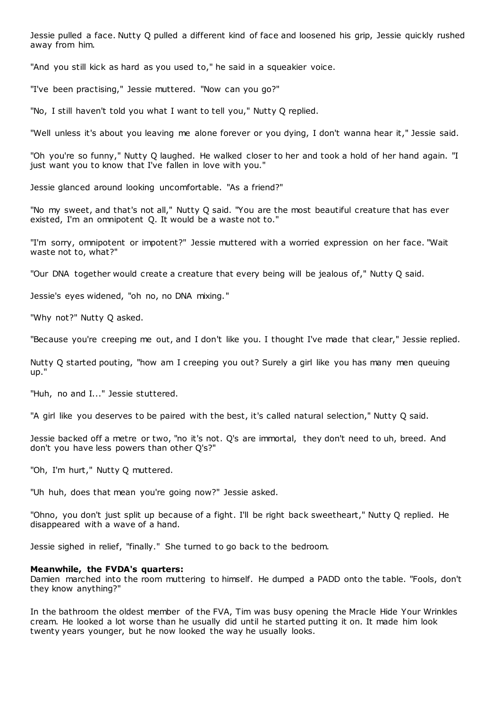Jessie pulled a face. Nutty Q pulled a different kind of face and loosened his grip, Jessie quickly rushed away from him.

"And you still kick as hard as you used to," he said in a squeakier voice.

"I've been practising," Jessie muttered. "Now can you go?"

"No, I still haven't told you what I want to tell you," Nutty Q replied.

"Well unless it's about you leaving me alone forever or you dying, I don't wanna hear it," Jessie said.

"Oh you're so funny," Nutty Q laughed. He walked closer to her and took a hold of her hand again. "I just want you to know that I've fallen in love with you."

Jessie glanced around looking uncomfortable. "As a friend?"

"No my sweet, and that's not all," Nutty Q said. "You are the most beautiful creature that has ever existed, I'm an omnipotent Q. It would be a waste not to."

"I'm sorry, omnipotent or impotent?" Jessie muttered with a worried expression on her face. "Wait waste not to, what?"

"Our DNA together would create a creature that every being will be jealous of," Nutty Q said.

Jessie's eyes widened, "oh no, no DNA mixing."

"Why not?" Nutty Q asked.

"Because you're creeping me out, and I don't like you. I thought I've made that clear," Jessie replied.

Nutty Q started pouting, "how am I creeping you out? Surely a girl like you has many men queuing up."

"Huh, no and I..." Jessie stuttered.

"A girl like you deserves to be paired with the best, it's called natural selection," Nutty Q said.

Jessie backed off a metre or two, "no it's not. Q's are immortal, they don't need to uh, breed. And don't you have less powers than other Q's?"

"Oh, I'm hurt," Nutty Q muttered.

"Uh huh, does that mean you're going now?" Jessie asked.

"Ohno, you don't just split up because of a fight. I'll be right back sweetheart," Nutty Q replied. He disappeared with a wave of a hand.

Jessie sighed in relief, "finally." She turned to go back to the bedroom.

# **Meanwhile, the FVDA's quarters:**

Damien marched into the room muttering to himself. He dumped a PADD onto the table. "Fools, don't they know anything?"

In the bathroom the oldest member of the FVA, Tim was busy opening the Mracle Hide Your Wrinkles cream. He looked a lot worse than he usually did until he started putting it on. It made him look twenty years younger, but he now looked the way he usually looks.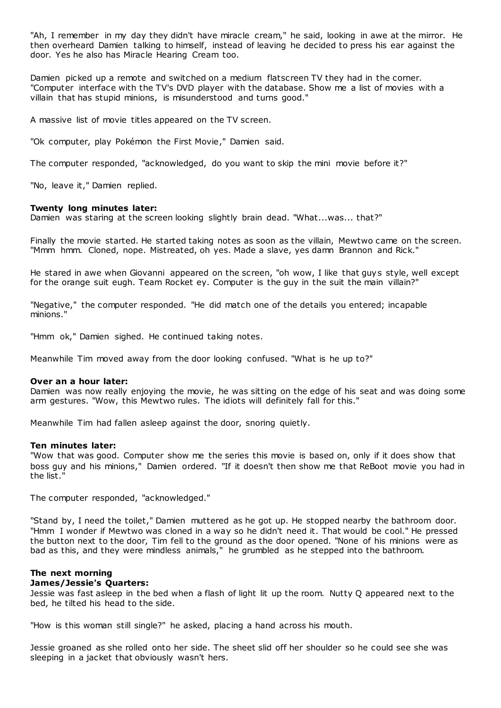"Ah, I remember in my day they didn't have miracle cream," he said, looking in awe at the mirror. He then overheard Damien talking to himself, instead of leaving he decided to press his ear against the door. Yes he also has Miracle Hearing Cream too.

Damien picked up a remote and switched on a medium flatscreen TV they had in the corner. "Computer interface with the TV's DVD player with the database. Show me a list of movies with a villain that has stupid minions, is misunderstood and turns good."

A massive list of movie titles appeared on the TV screen.

"Ok computer, play Pokémon the First Movie," Damien said.

The computer responded, "acknowledged, do you want to skip the mini movie before it?"

"No, leave it," Damien replied.

### **Twenty long minutes later:**

Damien was staring at the screen looking slightly brain dead. "What...was... that?"

Finally the movie started. He started taking notes as soon as the villain, Mewtwo came on the screen. "Mmm hmm. Cloned, nope. Mistreated, oh yes. Made a slave, yes damn Brannon and Rick."

He stared in awe when Giovanni appeared on the screen, "oh wow, I like that guys style, well except for the orange suit eugh. Team Rocket ey. Computer is the guy in the suit the main villain?"

"Negative," the computer responded. "He did match one of the details you entered; incapable minions."

"Hmm ok," Damien sighed. He continued taking notes.

Meanwhile Tim moved away from the door looking confused. "What is he up to?"

### **Over an a hour later:**

Damien was now really enjoying the movie, he was sitting on the edge of his seat and was doing some arm gestures. "Wow, this Mewtwo rules. The idiots will definitely fall for this."

Meanwhile Tim had fallen asleep against the door, snoring quietly.

# **Ten minutes later:**

"Wow that was good. Computer show me the series this movie is based on, only if it does show that boss guy and his minions," Damien ordered. "If it doesn't then show me that ReBoot movie you had in the list."

The computer responded, "acknowledged."

"Stand by, I need the toilet," Damien muttered as he got up. He stopped nearby the bathroom door. "Hmm I wonder if Mewtwo was cloned in a way so he didn't need it. That would be cool." He pressed the button next to the door, Tim fell to the ground as the door opened. "None of his minions were as bad as this, and they were mindless animals," he grumbled as he stepped into the bathroom.

# **The next morning James/Jessie's Quarters:**

Jessie was fast asleep in the bed when a flash of light lit up the room. Nutty Q appeared next to the bed, he tilted his head to the side.

"How is this woman still single?" he asked, placing a hand across his mouth.

Jessie groaned as she rolled onto her side. The sheet slid off her shoulder so he could see she was sleeping in a jacket that obviously wasn't hers.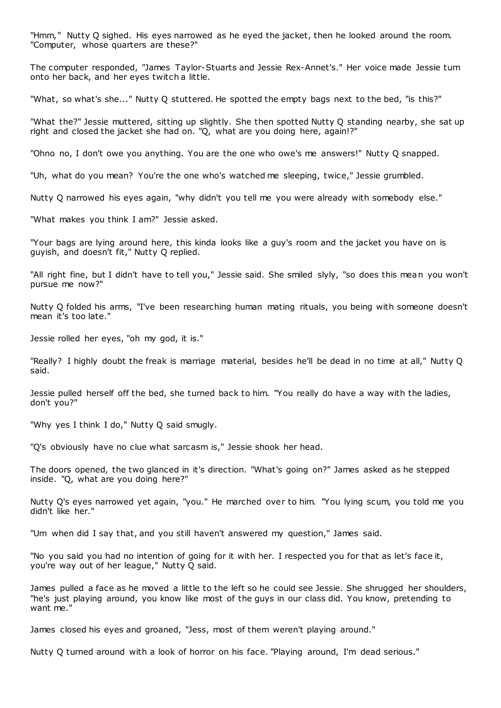"Hmm," Nutty Q sighed. His eyes narrowed as he eyed the jacket, then he looked around the room. "Computer, whose quarters are these?"

The computer responded, "James Taylor-Stuarts and Jessie Rex-Annet's." Her voice made Jessie turn onto her back, and her eyes twitch a little.

"What, so what's she..." Nutty Q stuttered. He spotted the empty bags next to the bed, "is this?"

"What the?" Jessie muttered, sitting up slightly. She then spotted Nutty Q standing nearby, she sat up right and closed the jacket she had on. "Q, what are you doing here, again!?"

"Ohno no, I don't owe you anything. You are the one who owe's me answers!" Nutty Q snapped.

"Uh, what do you mean? You're the one who's watched me sleeping, twice," Jessie grumbled.

Nutty Q narrowed his eyes again, "why didn't you tell me you were already with somebody else."

"What makes you think I am?" Jessie asked.

"Your bags are lying around here, this kinda looks like a guy's room and the jacket you have on is guyish, and doesn't fit," Nutty Q replied.

"All right fine, but I didn't have to tell you," Jessie said. She smiled slyly, "so does this mean you won't pursue me now?"

Nutty Q folded his arms, "I've been researching human mating rituals, you being with someone doesn't mean it's too late."

Jessie rolled her eyes, "oh my god, it is."

"Really? I highly doubt the freak is marriage material, besides he'll be dead in no time at all," Nutty Q said.

Jessie pulled herself off the bed, she turned back to him. "You really do have a way with the ladies, don't you?"

"Why yes I think I do," Nutty Q said smugly.

"Q's obviously have no clue what sarcasm is," Jessie shook her head.

The doors opened, the two glanced in it's direction. "What's going on?" James asked as he stepped inside. "Q, what are you doing here?"

Nutty Q's eyes narrowed yet again, "you." He marched over to him. "You lying scum, you told me you didn't like her."

"Um when did I say that, and you still haven't answered my question," James said.

"No you said you had no intention of going for it with her. I respected you for that as let's face it, you're way out of her league," Nutty Q said.

James pulled a face as he moved a little to the left so he could see Jessie. She shrugged her shoulders, "he's just playing around, you know like most of the guys in our class did. You know, pretending to want me."

James closed his eyes and groaned, "Jess, most of them weren't playing around."

Nutty Q turned around with a look of horror on his face. "Playing around, I'm dead serious."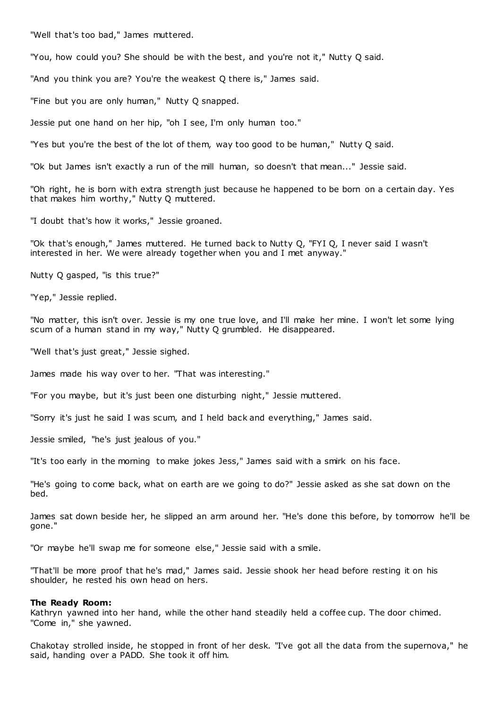"Well that's too bad," James muttered.

"You, how could you? She should be with the best, and you're not it," Nutty Q said.

"And you think you are? You're the weakest Q there is," James said.

"Fine but you are only human," Nutty Q snapped.

Jessie put one hand on her hip, "oh I see, I'm only human too."

"Yes but you're the best of the lot of them, way too good to be human," Nutty Q said.

"Ok but James isn't exactly a run of the mill human, so doesn't that mean..." Jessie said.

"Oh right, he is born with extra strength just because he happened to be born on a certain day. Yes that makes him worthy," Nutty Q muttered.

"I doubt that's how it works," Jessie groaned.

"Ok that's enough," James muttered. He turned back to Nutty Q, "FYI Q, I never said I wasn't interested in her. We were already together when you and I met anyway."

Nutty Q gasped, "is this true?"

"Yep," Jessie replied.

"No matter, this isn't over. Jessie is my one true love, and I'll make her mine. I won't let some lying scum of a human stand in my way," Nutty Q grumbled. He disappeared.

"Well that's just great," Jessie sighed.

James made his way over to her. "That was interesting."

"For you maybe, but it's just been one disturbing night," Jessie muttered.

"Sorry it's just he said I was scum, and I held back and everything," James said.

Jessie smiled, "he's just jealous of you."

"It's too early in the morning to make jokes Jess," James said with a smirk on his face.

"He's going to come back, what on earth are we going to do?" Jessie asked as she sat down on the bed.

James sat down beside her, he slipped an arm around her. "He's done this before, by tomorrow he'll be gone."

"Or maybe he'll swap me for someone else," Jessie said with a smile.

"That'll be more proof that he's mad," James said. Jessie shook her head before resting it on his shoulder, he rested his own head on hers.

#### **The Ready Room:**

Kathryn yawned into her hand, while the other hand steadily held a coffee cup. The door chimed. "Come in," she yawned.

Chakotay strolled inside, he stopped in front of her desk. "I've got all the data from the supernova," he said, handing over a PADD. She took it off him.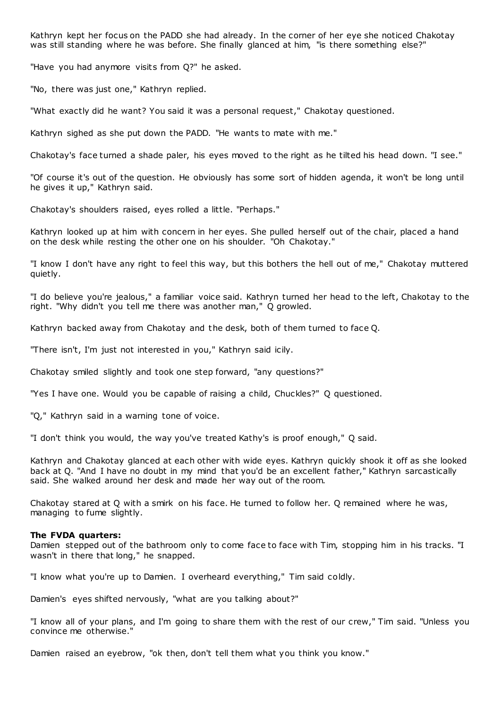Kathryn kept her focus on the PADD she had already. In the corner of her eye she noticed Chakotay was still standing where he was before. She finally glanced at him, "is there something else?"

"Have you had anymore visits from Q?" he asked.

"No, there was just one," Kathryn replied.

"What exactly did he want? You said it was a personal request," Chakotay questioned.

Kathryn sighed as she put down the PADD. "He wants to mate with me."

Chakotay's face turned a shade paler, his eyes moved to the right as he tilted his head down. "I see."

"Of course it's out of the question. He obviously has some sort of hidden agenda, it won't be long until he gives it up," Kathryn said.

Chakotay's shoulders raised, eyes rolled a little. "Perhaps."

Kathryn looked up at him with concern in her eyes. She pulled herself out of the chair, placed a hand on the desk while resting the other one on his shoulder. "Oh Chakotay."

"I know I don't have any right to feel this way, but this bothers the hell out of me," Chakotay muttered quietly.

"I do believe you're jealous," a familiar voice said. Kathryn turned her head to the left, Chakotay to the right. "Why didn't you tell me there was another man," Q growled.

Kathryn backed away from Chakotay and the desk, both of them turned to face Q.

"There isn't, I'm just not interested in you," Kathryn said icily.

Chakotay smiled slightly and took one step forward, "any questions?"

"Yes I have one. Would you be capable of raising a child, Chuckles?" Q questioned.

"Q," Kathryn said in a warning tone of voice.

"I don't think you would, the way you've treated Kathy's is proof enough," Q said.

Kathryn and Chakotay glanced at each other with wide eyes. Kathryn quickly shook it off as she looked back at Q. "And I have no doubt in my mind that you'd be an excellent father," Kathryn sarcastically said. She walked around her desk and made her way out of the room.

Chakotay stared at Q with a smirk on his face. He turned to follow her. Q remained where he was, managing to fume slightly.

### **The FVDA quarters:**

Damien stepped out of the bathroom only to come face to face with Tim, stopping him in his tracks. "I wasn't in there that long," he snapped.

"I know what you're up to Damien. I overheard everything," Tim said coldly.

Damien's eyes shifted nervously, "what are you talking about?"

"I know all of your plans, and I'm going to share them with the rest of our crew," Tim said. "Unless you convince me otherwise."

Damien raised an eyebrow, "ok then, don't tell them what you think you know."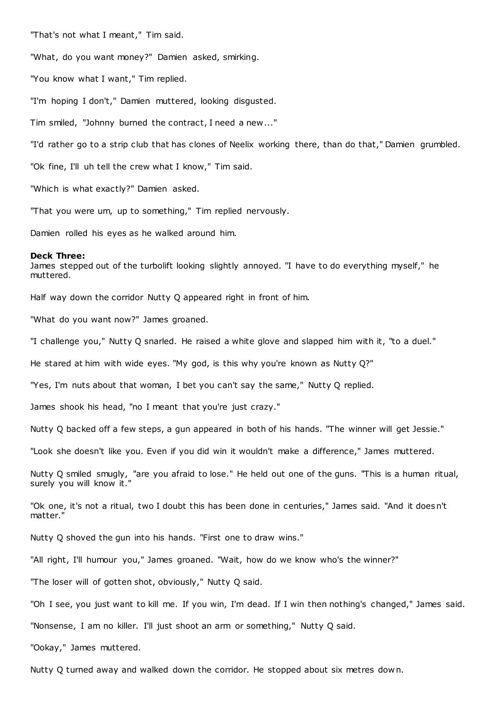"That's not what I meant," Tim said.

"What, do you want money?" Damien asked, smirking.

"You know what I want," Tim replied.

"I'm hoping I don't," Damien muttered, looking disgusted.

Tim smiled, "Johnny burned the contract, I need a new..."

"I'd rather go to a strip club that has clones of Neelix working there, than do that," Damien grumbled.

"Ok fine, I'll uh tell the crew what I know," Tim said.

"Which is what exactly?" Damien asked.

"That you were um, up to something," Tim replied nervously.

Damien rolled his eyes as he walked around him.

#### **Deck Three:**

James stepped out of the turbolift looking slightly annoyed. "I have to do everything myself," he muttered.

Half way down the corridor Nutty Q appeared right in front of him.

"What do you want now?" James groaned.

"I challenge you," Nutty Q snarled. He raised a white glove and slapped him with it, "to a duel."

He stared at him with wide eyes. "My god, is this why you're known as Nutty Q?"

"Yes, I'm nuts about that woman, I bet you can't say the same," Nutty Q replied.

James shook his head, "no I meant that you're just crazy."

Nutty Q backed off a few steps, a gun appeared in both of his hands. "The winner will get Jessie."

"Look she doesn't like you. Even if you did win it wouldn't make a difference," James muttered.

Nutty Q smiled smugly, "are you afraid to lose." He held out one of the guns. "This is a human ritual, surely you will know it."

"Ok one, it's not a ritual, two I doubt this has been done in centuries," James said. "And it doesn't matter."

Nutty Q shoved the gun into his hands. "First one to draw wins."

"All right, I'll humour you," James groaned. "Wait, how do we know who's the winner?"

"The loser will of gotten shot, obviously," Nutty Q said.

"Oh I see, you just want to kill me. If you win, I'm dead. If I win then nothing's changed," James said.

"Nonsense, I am no killer. I'll just shoot an arm or something," Nutty Q said.

"Ookay," James muttered.

Nutty Q turned away and walked down the corridor. He stopped about six metres dow n.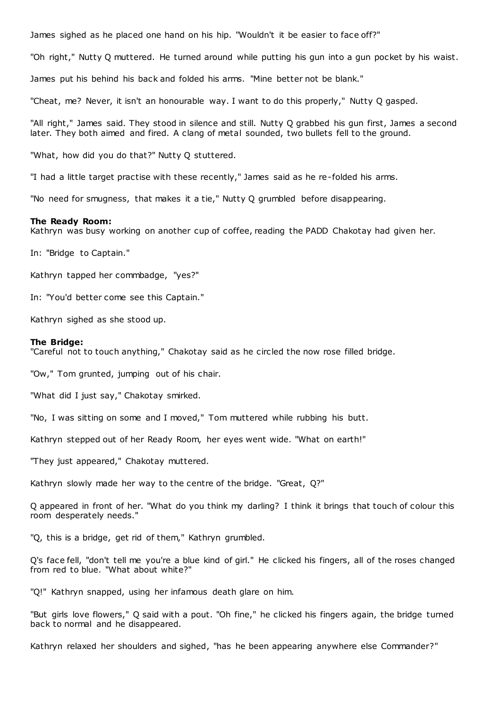James sighed as he placed one hand on his hip. "Wouldn't it be easier to face off?"

"Oh right," Nutty Q muttered. He turned around while putting his gun into a gun pocket by his waist.

James put his behind his back and folded his arms. "Mine better not be blank."

"Cheat, me? Never, it isn't an honourable way. I want to do this properly," Nutty Q gasped.

"All right," James said. They stood in silence and still. Nutty Q grabbed his gun first, James a second later. They both aimed and fired. A clang of metal sounded, two bullets fell to the ground.

"What, how did you do that?" Nutty Q stuttered.

"I had a little target practise with these recently," James said as he re-folded his arms.

"No need for smugness, that makes it a tie," Nutty Q grumbled before disappearing.

#### **The Ready Room:**

Kathryn was busy working on another cup of coffee, reading the PADD Chakotay had given her.

In: "Bridge to Captain."

Kathryn tapped her commbadge, "yes?"

In: "You'd better come see this Captain."

Kathryn sighed as she stood up.

#### **The Bridge:**

"Careful not to touch anything," Chakotay said as he circled the now rose filled bridge.

"Ow," Tom grunted, jumping out of his chair.

"What did I just say," Chakotay smirked.

"No, I was sitting on some and I moved," Tom muttered while rubbing his butt.

Kathryn stepped out of her Ready Room, her eyes went wide. "What on earth!"

"They just appeared," Chakotay muttered.

Kathryn slowly made her way to the centre of the bridge. "Great, Q?"

Q appeared in front of her. "What do you think my darling? I think it brings that touch of colour this room desperately needs."

"Q, this is a bridge, get rid of them," Kathryn grumbled.

Q's face fell, "don't tell me you're a blue kind of girl." He clicked his fingers, all of the roses changed from red to blue. "What about white?"

"Q!" Kathryn snapped, using her infamous death glare on him.

"But girls love flowers," Q said with a pout. "Oh fine," he clicked his fingers again, the bridge turned back to normal and he disappeared.

Kathryn relaxed her shoulders and sighed, "has he been appearing anywhere else Commander?"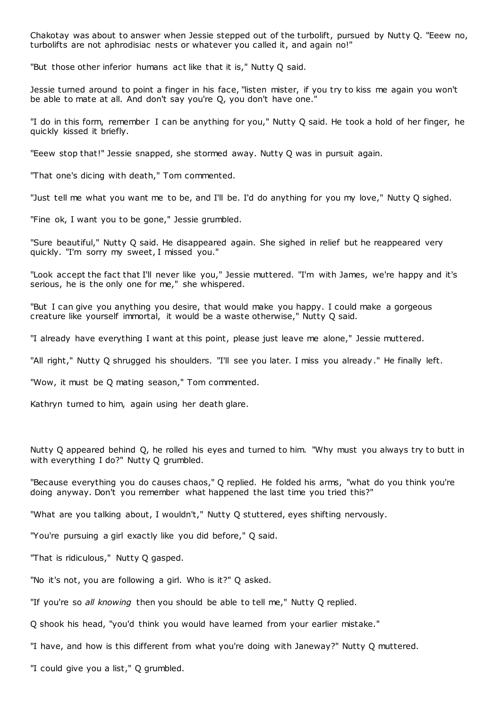Chakotay was about to answer when Jessie stepped out of the turbolift, pursued by Nutty Q. "Eeew no, turbolifts are not aphrodisiac nests or whatever you called it, and again no!"

"But those other inferior humans act like that it is," Nutty Q said.

Jessie turned around to point a finger in his face, "listen mister, if you try to kiss me again you won't be able to mate at all. And don't say you're Q, you don't have one."

"I do in this form, remember I can be anything for you," Nutty Q said. He took a hold of her finger, he quickly kissed it briefly.

"Eeew stop that!" Jessie snapped, she stormed away. Nutty Q was in pursuit again.

"That one's dicing with death," Tom commented.

"Just tell me what you want me to be, and I'll be. I'd do anything for you my love," Nutty Q sighed.

"Fine ok, I want you to be gone," Jessie grumbled.

"Sure beautiful," Nutty Q said. He disappeared again. She sighed in relief but he reappeared very quickly. "I'm sorry my sweet, I missed you."

"Look accept the fact that I'll never like you," Jessie muttered. "I'm with James, we're happy and it's serious, he is the only one for me," she whispered.

"But I can give you anything you desire, that would make you happy. I could make a gorgeous creature like yourself immortal, it would be a waste otherwise," Nutty Q said.

"I already have everything I want at this point, please just leave me alone," Jessie muttered.

"All right," Nutty Q shrugged his shoulders. "I'll see you later. I miss you already." He finally left.

"Wow, it must be Q mating season," Tom commented.

Kathryn turned to him, again using her death glare.

Nutty Q appeared behind Q, he rolled his eyes and turned to him. "Why must you always try to butt in with everything I do?" Nutty Q grumbled.

"Because everything you do causes chaos," Q replied. He folded his arms, "what do you think you're doing anyway. Don't you remember what happened the last time you tried this?"

"What are you talking about, I wouldn't," Nutty Q stuttered, eyes shifting nervously.

"You're pursuing a girl exactly like you did before," Q said.

"That is ridiculous," Nutty Q gasped.

"No it's not, you are following a girl. Who is it?" Q asked.

"If you're so *all knowing* then you should be able to tell me," Nutty Q replied.

Q shook his head, "you'd think you would have learned from your earlier mistake."

"I have, and how is this different from what you're doing with Janeway?" Nutty Q muttered.

"I could give you a list," Q grumbled.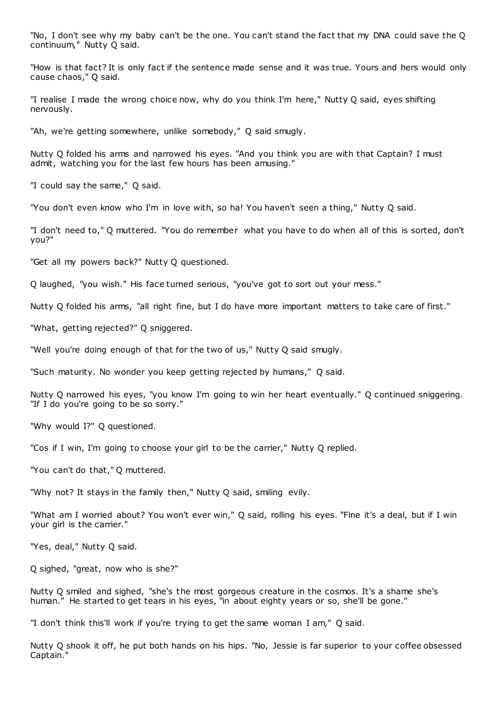"No, I don't see why my baby can't be the one. You can't stand the fact that my DNA could save the Q continuum," Nutty Q said.

"How is that fact? It is only fact if the sentence made sense and it was true. Yours and hers would only cause chaos," Q said.

"I realise I made the wrong choice now, why do you think I'm here," Nutty Q said, eyes shifting nervously.

"Ah, we're getting somewhere, unlike somebody," Q said smugly.

Nutty Q folded his arms and narrowed his eyes. "And you think you are with that Captain? I must admit, watching you for the last few hours has been amusing."

"I could say the same," Q said.

"You don't even know who I'm in love with, so ha! You haven't seen a thing," Nutty Q said.

"I don't need to," Q muttered. "You do remember what you have to do when all of this is sorted, don't you?"

"Get all my powers back?" Nutty Q questioned.

Q laughed, "you wish." His face turned serious, "you've got to sort out your mess."

Nutty Q folded his arms, "all right fine, but I do have more important matters to take care of first."

"What, getting rejected?" Q sniggered.

"Well you're doing enough of that for the two of us," Nutty Q said smugly.

"Such maturity. No wonder you keep getting rejected by humans," Q said.

Nutty Q narrowed his eyes, "you know I'm going to win her heart eventually." Q continued sniggering. "If I do you're going to be so sorry."

"Why would I?" Q questioned.

"Cos if I win, I'm going to choose your girl to be the carrier," Nutty Q replied.

"You can't do that," Q muttered.

"Why not? It stays in the family then," Nutty Q said, smiling evily.

"What am I worried about? You won't ever win," Q said, rolling his eyes. "Fine it's a deal, but if I win your girl is the carrier."

"Yes, deal," Nutty Q said.

Q sighed, "great, now who is she?"

Nutty Q smiled and sighed, "she's the most gorgeous creature in the cosmos. It's a shame she's human." He started to get tears in his eyes, "in about eighty years or so, she'll be gone."

"I don't think this'll work if you're trying to get the same woman I am," Q said.

Nutty Q shook it off, he put both hands on his hips. "No, Jessie is far superior to your coffee obsessed Captain."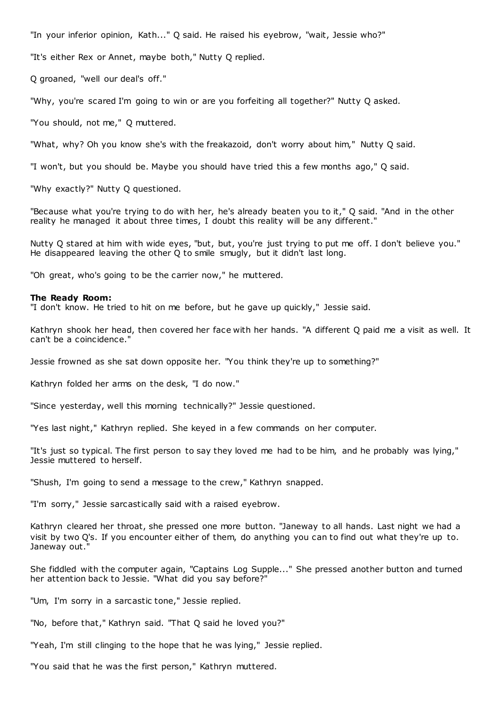"In your inferior opinion, Kath..." Q said. He raised his eyebrow, "wait, Jessie who?"

"It's either Rex or Annet, maybe both," Nutty Q replied.

Q groaned, "well our deal's off."

"Why, you're scared I'm going to win or are you forfeiting all together?" Nutty Q asked.

"You should, not me," Q muttered.

"What, why? Oh you know she's with the freakazoid, don't worry about him," Nutty Q said.

"I won't, but you should be. Maybe you should have tried this a few months ago," Q said.

"Why exactly?" Nutty Q questioned.

"Because what you're trying to do with her, he's already beaten you to it," Q said. "And in the other reality he managed it about three times, I doubt this reality will be any different."

Nutty Q stared at him with wide eyes, "but, but, you're just trying to put me off. I don't believe you." He disappeared leaving the other Q to smile smugly, but it didn't last long.

"Oh great, who's going to be the carrier now," he muttered.

### **The Ready Room:**

"I don't know. He tried to hit on me before, but he gave up quickly," Jessie said.

Kathryn shook her head, then covered her face with her hands. "A different Q paid me a visit as well. It can't be a coincidence."

Jessie frowned as she sat down opposite her. "You think they're up to something?"

Kathryn folded her arms on the desk, "I do now."

"Since yesterday, well this morning technically?" Jessie questioned.

"Yes last night," Kathryn replied. She keyed in a few commands on her computer.

"It's just so typical. The first person to say they loved me had to be him, and he probably was lying," Jessie muttered to herself.

"Shush, I'm going to send a message to the crew," Kathryn snapped.

"I'm sorry," Jessie sarcastically said with a raised eyebrow.

Kathryn cleared her throat, she pressed one more button. "Janeway to all hands. Last night we had a visit by two Q's. If you encounter either of them, do anything you can to find out what they're up to. Janeway out."

She fiddled with the computer again, "Captains Log Supple..." She pressed another button and turned her attention back to Jessie. "What did you say before?"

"Um, I'm sorry in a sarcastic tone," Jessie replied.

"No, before that," Kathryn said. "That Q said he loved you?"

"Yeah, I'm still clinging to the hope that he was lying," Jessie replied.

"You said that he was the first person," Kathryn muttered.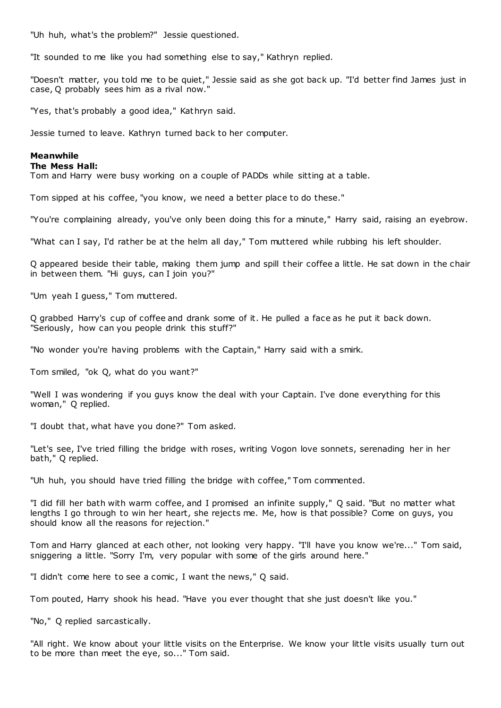"Uh huh, what's the problem?" Jessie questioned.

"It sounded to me like you had something else to say," Kathryn replied.

"Doesn't matter, you told me to be quiet," Jessie said as she got back up. "I'd better find James just in case, Q probably sees him as a rival now."

"Yes, that's probably a good idea," Kathryn said.

Jessie turned to leave. Kathryn turned back to her computer.

# **Meanwhile**

# **The Mess Hall:**

Tom and Harry were busy working on a couple of PADDs while sitting at a table.

Tom sipped at his coffee, "you know, we need a better place to do these."

"You're complaining already, you've only been doing this for a minute," Harry said, raising an eyebrow.

"What can I say, I'd rather be at the helm all day," Tom muttered while rubbing his left shoulder.

Q appeared beside their table, making them jump and spill their coffee a little. He sat down in the chair in between them. "Hi guys, can I join you?"

"Um yeah I guess," Tom muttered.

Q grabbed Harry's cup of coffee and drank some of it. He pulled a face as he put it back down. "Seriously, how can you people drink this stuff?"

"No wonder you're having problems with the Captain," Harry said with a smirk.

Tom smiled, "ok Q, what do you want?"

"Well I was wondering if you guys know the deal with your Captain. I've done everything for this woman," Q replied.

"I doubt that, what have you done?" Tom asked.

"Let's see, I've tried filling the bridge with roses, writing Vogon love sonnets, serenading her in her bath," Q replied.

"Uh huh, you should have tried filling the bridge with coffee," Tom commented.

"I did fill her bath with warm coffee, and I promised an infinite supply," Q said. "But no matter what lengths I go through to win her heart, she rejects me. Me, how is that possible? Come on guys, you should know all the reasons for rejection."

Tom and Harry glanced at each other, not looking very happy. "I'll have you know we're..." Tom said, sniggering a little. "Sorry I'm, very popular with some of the girls around here."

"I didn't come here to see a comic, I want the news," Q said.

Tom pouted, Harry shook his head. "Have you ever thought that she just doesn't like you."

"No," Q replied sarcastically.

"All right. We know about your little visits on the Enterprise. We know your little visits usually turn out to be more than meet the eye, so..." Tom said.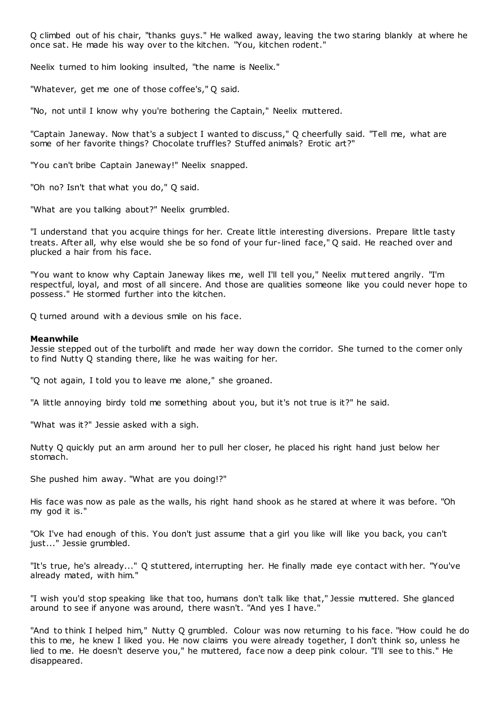Q climbed out of his chair, "thanks guys." He walked away, leaving the two staring blankly at where he once sat. He made his way over to the kitchen. "You, kitchen rodent."

Neelix turned to him looking insulted, "the name is Neelix."

"Whatever, get me one of those coffee's," Q said.

"No, not until I know why you're bothering the Captain," Neelix muttered.

"Captain Janeway. Now that's a subject I wanted to discuss," Q cheerfully said. "Tell me, what are some of her favorite things? Chocolate truffles? Stuffed animals? Erotic art?"

"You can't bribe Captain Janeway!" Neelix snapped.

"Oh no? Isn't that what you do," Q said.

"What are you talking about?" Neelix grumbled.

"I understand that you acquire things for her. Create little interesting diversions. Prepare little tasty treats. After all, why else would she be so fond of your fur-lined face," Q said. He reached over and plucked a hair from his face.

"You want to know why Captain Janeway likes me, well I'll tell you," Neelix muttered angrily. "I'm respectful, loyal, and most of all sincere. And those are qualities someone like you could never hope to possess." He stormed further into the kitchen.

Q turned around with a devious smile on his face.

# **Meanwhile**

Jessie stepped out of the turbolift and made her way down the corridor. She turned to the corner only to find Nutty Q standing there, like he was waiting for her.

"Q not again, I told you to leave me alone," she groaned.

"A little annoying birdy told me something about you, but it's not true is it?" he said.

"What was it?" Jessie asked with a sigh.

Nutty Q quickly put an arm around her to pull her closer, he placed his right hand just below her stomach.

She pushed him away. "What are you doing!?"

His face was now as pale as the walls, his right hand shook as he stared at where it was before. "Oh my god it is."

"Ok I've had enough of this. You don't just assume that a girl you like will like you back, you can't just..." Jessie grumbled.

"It's true, he's already..." Q stuttered, interrupting her. He finally made eye contact with her. "You've already mated, with him."

"I wish you'd stop speaking like that too, humans don't talk like that," Jessie muttered. She glanced around to see if anyone was around, there wasn't. "And yes I have."

"And to think I helped him," Nutty Q grumbled. Colour was now returning to his face. "How could he do this to me, he knew I liked you. He now claims you were already together, I don't think so, unless he lied to me. He doesn't deserve you," he muttered, face now a deep pink colour. "I'll see to this." He disappeared.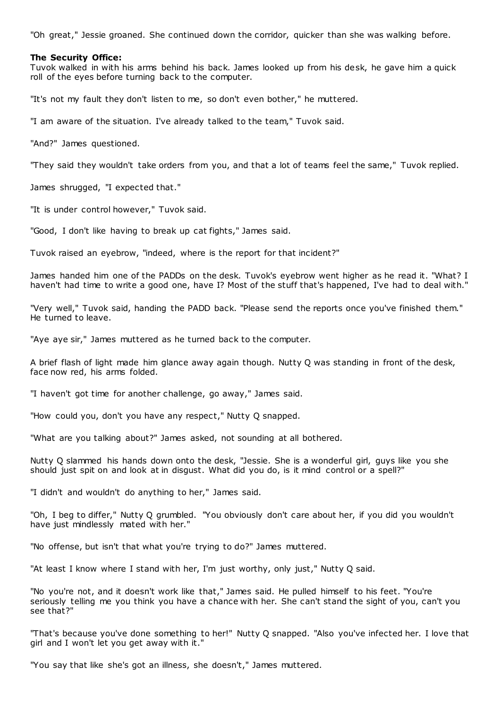"Oh great," Jessie groaned. She continued down the corridor, quicker than she was walking before.

# **The Security Office:**

Tuvok walked in with his arms behind his back. James looked up from his desk, he gave him a quick roll of the eyes before turning back to the computer.

"It's not my fault they don't listen to me, so don't even bother," he muttered.

"I am aware of the situation. I've already talked to the team," Tuvok said.

"And?" James questioned.

"They said they wouldn't take orders from you, and that a lot of teams feel the same," Tuvok replied.

James shrugged, "I expected that."

"It is under control however," Tuvok said.

"Good, I don't like having to break up cat fights," James said.

Tuvok raised an eyebrow, "indeed, where is the report for that incident?"

James handed him one of the PADDs on the desk. Tuvok's eyebrow went higher as he read it. "What? I haven't had time to write a good one, have I? Most of the stuff that's happened, I've had to deal with."

"Very well," Tuvok said, handing the PADD back. "Please send the reports once you've finished them." He turned to leave.

"Aye aye sir," James muttered as he turned back to the computer.

A brief flash of light made him glance away again though. Nutty Q was standing in front of the desk, face now red, his arms folded.

"I haven't got time for another challenge, go away," James said.

"How could you, don't you have any respect," Nutty Q snapped.

"What are you talking about?" James asked, not sounding at all bothered.

Nutty Q slammed his hands down onto the desk, "Jessie. She is a wonderful girl, guys like you she should just spit on and look at in disgust. What did you do, is it mind control or a spell?"

"I didn't and wouldn't do anything to her," James said.

"Oh, I beg to differ," Nutty Q grumbled. "You obviously don't care about her, if you did you wouldn't have just mindlessly mated with her."

"No offense, but isn't that what you're trying to do?" James muttered.

"At least I know where I stand with her, I'm just worthy, only just," Nutty Q said.

"No you're not, and it doesn't work like that," James said. He pulled himself to his feet. "You're seriously telling me you think you have a chance with her. She can't stand the sight of you, can't you see that?"

"That's because you've done something to her!" Nutty Q snapped. "Also you've infected her. I love that girl and I won't let you get away with it."

"You say that like she's got an illness, she doesn't," James muttered.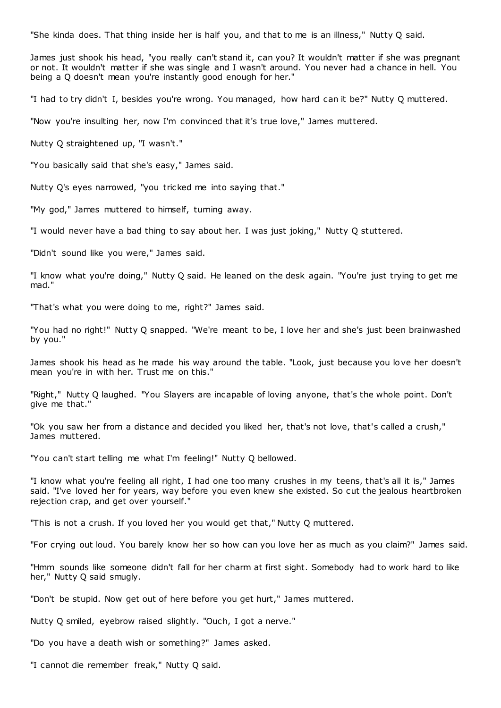"She kinda does. That thing inside her is half you, and that to me is an illness," Nutty Q said.

James just shook his head, "you really can't stand it, can you? It wouldn't matter if she was pregnant or not. It wouldn't matter if she was single and I wasn't around. You never had a chance in hell. You being a Q doesn't mean you're instantly good enough for her."

"I had to try didn't I, besides you're wrong. You managed, how hard can it be?" Nutty Q muttered.

"Now you're insulting her, now I'm convinced that it's true love," James muttered.

Nutty Q straightened up, "I wasn't."

"You basically said that she's easy," James said.

Nutty Q's eyes narrowed, "you tricked me into saying that."

"My god," James muttered to himself, turning away.

"I would never have a bad thing to say about her. I was just joking," Nutty Q stuttered.

"Didn't sound like you were," James said.

"I know what you're doing," Nutty Q said. He leaned on the desk again. "You're just trying to get me mad."

"That's what you were doing to me, right?" James said.

"You had no right!" Nutty Q snapped. "We're meant to be, I love her and she's just been brainwashed by you."

James shook his head as he made his way around the table. "Look, just because you love her doesn't mean you're in with her. Trust me on this."

"Right," Nutty Q laughed. "You Slayers are incapable of loving anyone, that's the whole point. Don't give me that."

"Ok you saw her from a distance and decided you liked her, that's not love, that's called a crush," James muttered.

"You can't start telling me what I'm feeling!" Nutty Q bellowed.

"I know what you're feeling all right, I had one too many crushes in my teens, that's all it is," James said. "I've loved her for years, way before you even knew she existed. So cut the jealous heartbroken rejection crap, and get over yourself."

"This is not a crush. If you loved her you would get that," Nutty Q muttered.

"For crying out loud. You barely know her so how can you love her as much as you claim?" James said.

"Hmm sounds like someone didn't fall for her charm at first sight. Somebody had to work hard to like her," Nutty Q said smugly.

"Don't be stupid. Now get out of here before you get hurt," James muttered.

Nutty Q smiled, eyebrow raised slightly. "Ouch, I got a nerve."

"Do you have a death wish or something?" James asked.

"I cannot die remember freak," Nutty Q said.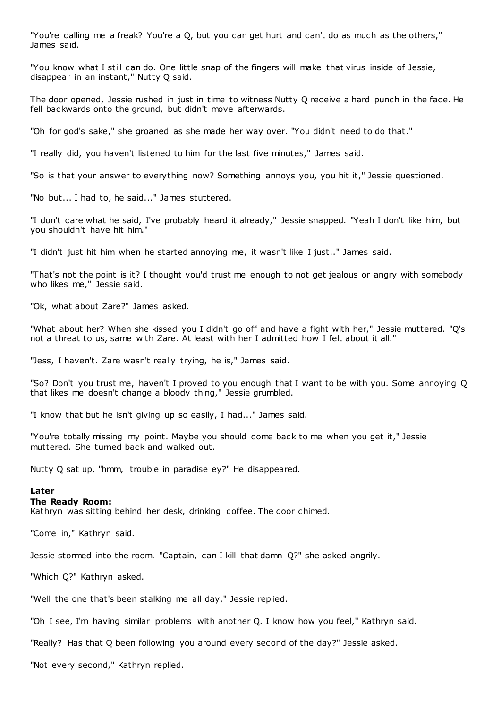"You're calling me a freak? You're a Q, but you can get hurt and can't do as much as the others," James said.

"You know what I still can do. One little snap of the fingers will make that virus inside of Jessie, disappear in an instant," Nutty Q said.

The door opened, Jessie rushed in just in time to witness Nutty Q receive a hard punch in the face. He fell backwards onto the ground, but didn't move afterwards.

"Oh for god's sake," she groaned as she made her way over. "You didn't need to do that."

"I really did, you haven't listened to him for the last five minutes," James said.

"So is that your answer to everything now? Something annoys you, you hit it," Jessie questioned.

"No but... I had to, he said..." James stuttered.

"I don't care what he said, I've probably heard it already," Jessie snapped. "Yeah I don't like him, but you shouldn't have hit him."

"I didn't just hit him when he started annoying me, it wasn't like I just.." James said.

"That's not the point is it? I thought you'd trust me enough to not get jealous or angry with somebody who likes me," Jessie said.

"Ok, what about Zare?" James asked.

"What about her? When she kissed you I didn't go off and have a fight with her," Jessie muttered. "Q's not a threat to us, same with Zare. At least with her I admitted how I felt about it all."

"Jess, I haven't. Zare wasn't really trying, he is," James said.

"So? Don't you trust me, haven't I proved to you enough that I want to be with you. Some annoying Q that likes me doesn't change a bloody thing," Jessie grumbled.

"I know that but he isn't giving up so easily, I had..." James said.

"You're totally missing my point. Maybe you should come back to me when you get it," Jessie muttered. She turned back and walked out.

Nutty Q sat up, "hmm, trouble in paradise ey?" He disappeared.

# **Later**

#### **The Ready Room:**

Kathryn was sitting behind her desk, drinking coffee. The door chimed.

"Come in," Kathryn said.

Jessie stormed into the room. "Captain, can I kill that damn Q?" she asked angrily.

"Which Q?" Kathryn asked.

"Well the one that's been stalking me all day," Jessie replied.

"Oh I see, I'm having similar problems with another Q. I know how you feel," Kathryn said.

"Really? Has that Q been following you around every second of the day?" Jessie asked.

"Not every second," Kathryn replied.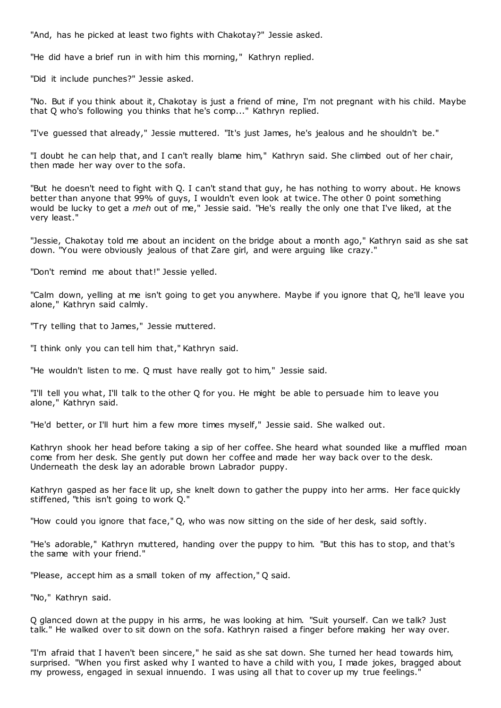"And, has he picked at least two fights with Chakotay?" Jessie asked.

"He did have a brief run in with him this morning," Kathryn replied.

"Did it include punches?" Jessie asked.

"No. But if you think about it, Chakotay is just a friend of mine, I'm not pregnant with his child. Maybe that Q who's following you thinks that he's comp..." Kathryn replied.

"I've guessed that already," Jessie muttered. "It's just James, he's jealous and he shouldn't be."

"I doubt he can help that, and I can't really blame him," Kathryn said. She climbed out of her chair, then made her way over to the sofa.

"But he doesn't need to fight with Q. I can't stand that guy, he has nothing to worry about. He knows better than anyone that 99% of guys, I wouldn't even look at twice. The other 0 point something would be lucky to get a *meh* out of me," Jessie said. "He's really the only one that I've liked, at the very least."

"Jessie, Chakotay told me about an incident on the bridge about a month ago," Kathryn said as she sat down. "You were obviously jealous of that Zare girl, and were arguing like crazy."

"Don't remind me about that!" Jessie yelled.

"Calm down, yelling at me isn't going to get you anywhere. Maybe if you ignore that Q, he'll leave you alone," Kathryn said calmly.

"Try telling that to James," Jessie muttered.

"I think only you can tell him that," Kathryn said.

"He wouldn't listen to me. Q must have really got to him," Jessie said.

"I'll tell you what, I'll talk to the other Q for you. He might be able to persuade him to leave you alone," Kathryn said.

"He'd better, or I'll hurt him a few more times myself," Jessie said. She walked out.

Kathryn shook her head before taking a sip of her coffee. She heard what sounded like a muffled moan come from her desk. She gently put down her coffee and made her way back over to the desk. Underneath the desk lay an adorable brown Labrador puppy.

Kathryn gasped as her face lit up, she knelt down to gather the puppy into her arms. Her face quickly stiffened, "this isn't going to work Q."

"How could you ignore that face," Q, who was now sitting on the side of her desk, said softly.

"He's adorable," Kathryn muttered, handing over the puppy to him. "But this has to stop, and that's the same with your friend."

"Please, accept him as a small token of my affection," Q said.

"No," Kathryn said.

Q glanced down at the puppy in his arms, he was looking at him. "Suit yourself. Can we talk? Just talk." He walked over to sit down on the sofa. Kathryn raised a finger before making her way over.

"I'm afraid that I haven't been sincere," he said as she sat down. She turned her head towards him, surprised. "When you first asked why I wanted to have a child with you, I made jokes, bragged about my prowess, engaged in sexual innuendo. I was using all that to cover up my true feelings."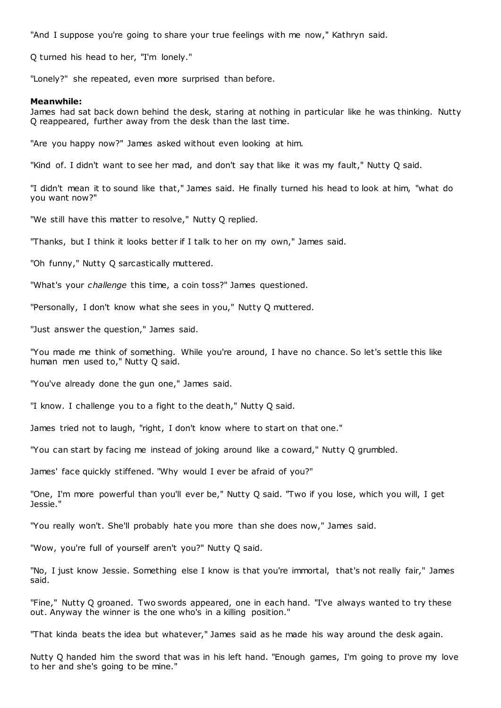"And I suppose you're going to share your true feelings with me now," Kathryn said.

Q turned his head to her, "I'm lonely."

"Lonely?" she repeated, even more surprised than before.

### **Meanwhile:**

James had sat back down behind the desk, staring at nothing in particular like he was thinking. Nutty Q reappeared, further away from the desk than the last time.

"Are you happy now?" James asked without even looking at him.

"Kind of. I didn't want to see her mad, and don't say that like it was my fault," Nutty Q said.

"I didn't mean it to sound like that," James said. He finally turned his head to look at him, "what do you want now?"

"We still have this matter to resolve," Nutty Q replied.

"Thanks, but I think it looks better if I talk to her on my own," James said.

"Oh funny," Nutty Q sarcastically muttered.

"What's your *challenge* this time, a coin toss?" James questioned.

"Personally, I don't know what she sees in you," Nutty Q muttered.

"Just answer the question," James said.

"You made me think of something. While you're around, I have no chance. So let's settle this like human men used to," Nutty Q said.

"You've already done the gun one," James said.

"I know. I challenge you to a fight to the death," Nutty Q said.

James tried not to laugh, "right, I don't know where to start on that one."

"You can start by facing me instead of joking around like a coward," Nutty Q grumbled.

James' face quickly stiffened. "Why would I ever be afraid of you?"

"One, I'm more powerful than you'll ever be," Nutty Q said. "Two if you lose, which you will, I get Jessie."

"You really won't. She'll probably hate you more than she does now," James said.

"Wow, you're full of yourself aren't you?" Nutty Q said.

"No, I just know Jessie. Something else I know is that you're immortal, that's not really fair," James said.

"Fine," Nutty Q groaned. Two swords appeared, one in each hand. "I've always wanted to try these out. Anyway the winner is the one who's in a killing position."

"That kinda beats the idea but whatever," James said as he made his way around the desk again.

Nutty Q handed him the sword that was in his left hand. "Enough games, I'm going to prove my love to her and she's going to be mine."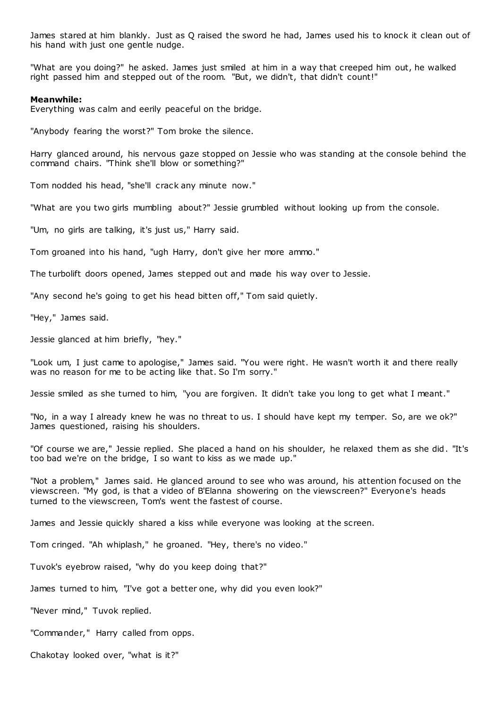James stared at him blankly. Just as Q raised the sword he had, James used his to knock it clean out of his hand with just one gentle nudge.

"What are you doing?" he asked. James just smiled at him in a way that creeped him out, he walked right passed him and stepped out of the room. "But, we didn't, that didn't count!"

# **Meanwhile:**

Everything was calm and eerily peaceful on the bridge.

"Anybody fearing the worst?" Tom broke the silence.

Harry glanced around, his nervous gaze stopped on Jessie who was standing at the console behind the command chairs. "Think she'll blow or something?"

Tom nodded his head, "she'll crack any minute now."

"What are you two girls mumbling about?" Jessie grumbled without looking up from the console.

"Um, no girls are talking, it's just us," Harry said.

Tom groaned into his hand, "ugh Harry, don't give her more ammo."

The turbolift doors opened, James stepped out and made his way over to Jessie.

"Any second he's going to get his head bitten off," Tom said quietly.

"Hey," James said.

Jessie glanced at him briefly, "hey."

"Look um, I just came to apologise," James said. "You were right. He wasn't worth it and there really was no reason for me to be acting like that. So I'm sorry."

Jessie smiled as she turned to him, "you are forgiven. It didn't take you long to get what I meant."

"No, in a way I already knew he was no threat to us. I should have kept my temper. So, are we ok?" James questioned, raising his shoulders.

"Of course we are," Jessie replied. She placed a hand on his shoulder, he relaxed them as she did. "It's too bad we're on the bridge, I so want to kiss as we made up."

"Not a problem," James said. He glanced around to see who was around, his attention focused on the viewscreen. "My god, is that a video of B'Elanna showering on the viewscreen?" Everyone's heads turned to the viewscreen, Tom's went the fastest of course.

James and Jessie quickly shared a kiss while everyone was looking at the screen.

Tom cringed. "Ah whiplash," he groaned. "Hey, there's no video."

Tuvok's eyebrow raised, "why do you keep doing that?"

James turned to him, "I've got a better one, why did you even look?"

"Never mind," Tuvok replied.

"Commander," Harry called from opps.

Chakotay looked over, "what is it?"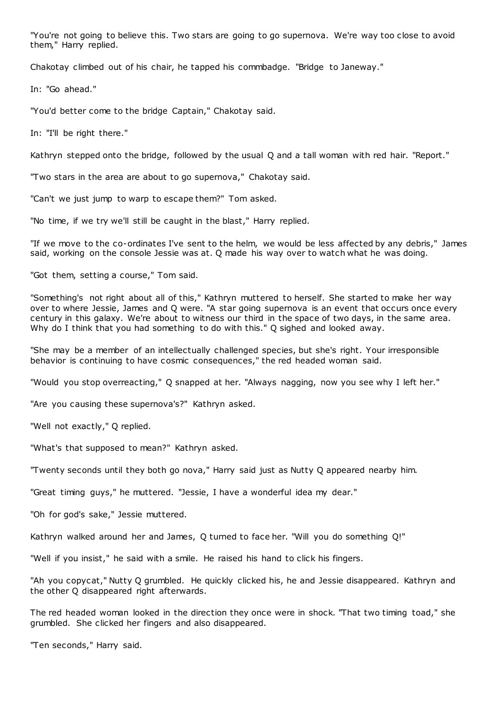"You're not going to believe this. Two stars are going to go supernova. We're way too close to avoid them," Harry replied.

Chakotay climbed out of his chair, he tapped his commbadge. "Bridge to Janeway."

In: "Go ahead."

"You'd better come to the bridge Captain," Chakotay said.

In: "I'll be right there."

Kathryn stepped onto the bridge, followed by the usual Q and a tall woman with red hair. "Report."

"Two stars in the area are about to go supernova," Chakotay said.

"Can't we just jump to warp to escape them?" Tom asked.

"No time, if we try we'll still be caught in the blast," Harry replied.

"If we move to the co-ordinates I've sent to the helm, we would be less affected by any debris," James said, working on the console Jessie was at. Q made his way over to watch what he was doing.

"Got them, setting a course," Tom said.

"Something's not right about all of this," Kathryn muttered to herself. She started to make her way over to where Jessie, James and Q were. "A star going supernova is an event that occurs once every century in this galaxy. We're about to witness our third in the space of two days, in the same area. Why do I think that you had something to do with this." O sighed and looked away.

"She may be a member of an intellectually challenged species, but she's right. Your irresponsible behavior is continuing to have cosmic consequences," the red headed woman said.

"Would you stop overreacting," Q snapped at her. "Always nagging, now you see why I left her."

"Are you causing these supernova's?" Kathryn asked.

"Well not exactly," Q replied.

"What's that supposed to mean?" Kathryn asked.

"Twenty seconds until they both go nova," Harry said just as Nutty Q appeared nearby him.

"Great timing guys," he muttered. "Jessie, I have a wonderful idea my dear."

"Oh for god's sake," Jessie muttered.

Kathryn walked around her and James, Q turned to face her. "Will you do something Q!"

"Well if you insist," he said with a smile. He raised his hand to click his fingers.

"Ah you copycat," Nutty Q grumbled. He quickly clicked his, he and Jessie disappeared. Kathryn and the other Q disappeared right afterwards.

The red headed woman looked in the direction they once were in shock. "That two timing toad," she grumbled. She clicked her fingers and also disappeared.

"Ten seconds," Harry said.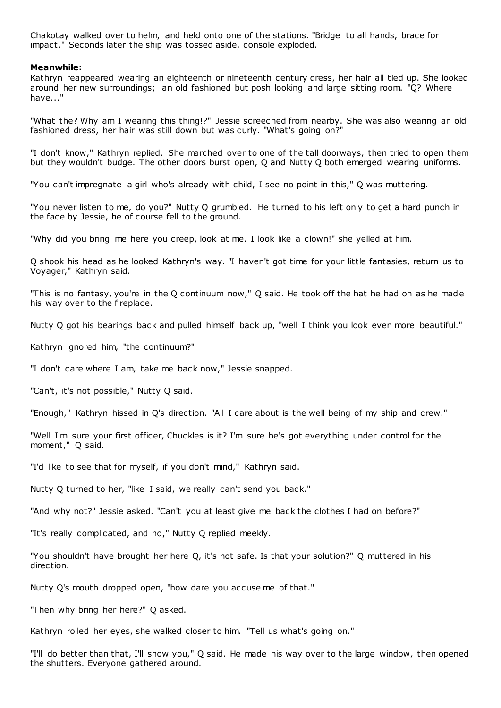Chakotay walked over to helm, and held onto one of the stations. "Bridge to all hands, brace for impact." Seconds later the ship was tossed aside, console exploded.

# **Meanwhile:**

Kathryn reappeared wearing an eighteenth or nineteenth century dress, her hair all tied up. She looked around her new surroundings; an old fashioned but posh looking and large sitting room. "Q? Where have..."

"What the? Why am I wearing this thing!?" Jessie screeched from nearby. She was also wearing an old fashioned dress, her hair was still down but was curly. "What's going on?"

"I don't know," Kathryn replied. She marched over to one of the tall doorways, then tried to open them but they wouldn't budge. The other doors burst open, Q and Nutty Q both emerged wearing uniforms.

"You can't impregnate a girl who's already with child, I see no point in this," Q was muttering.

"You never listen to me, do you?" Nutty Q grumbled. He turned to his left only to get a hard punch in the face by Jessie, he of course fell to the ground.

"Why did you bring me here you creep, look at me. I look like a clown!" she yelled at him.

Q shook his head as he looked Kathryn's way. "I haven't got time for your little fantasies, return us to Voyager," Kathryn said.

"This is no fantasy, you're in the Q continuum now," Q said. He took off the hat he had on as he made his way over to the fireplace.

Nutty Q got his bearings back and pulled himself back up, "well I think you look even more beautiful."

Kathryn ignored him, "the continuum?"

"I don't care where I am, take me back now," Jessie snapped.

"Can't, it's not possible," Nutty Q said.

"Enough," Kathryn hissed in Q's direction. "All I care about is the well being of my ship and crew."

"Well I'm sure your first officer, Chuckles is it? I'm sure he's got everything under control for the moment," Q said.

"I'd like to see that for myself, if you don't mind," Kathryn said.

Nutty Q turned to her, "like I said, we really can't send you back."

"And why not?" Jessie asked. "Can't you at least give me back the clothes I had on before?"

"It's really complicated, and no," Nutty Q replied meekly.

"You shouldn't have brought her here Q, it's not safe. Is that your solution?" Q muttered in his direction.

Nutty Q's mouth dropped open, "how dare you accuse me of that."

"Then why bring her here?" Q asked.

Kathryn rolled her eyes, she walked closer to him. "Tell us what's going on."

"I'll do better than that, I'll show you," Q said. He made his way over to the large window, then opened the shutters. Everyone gathered around.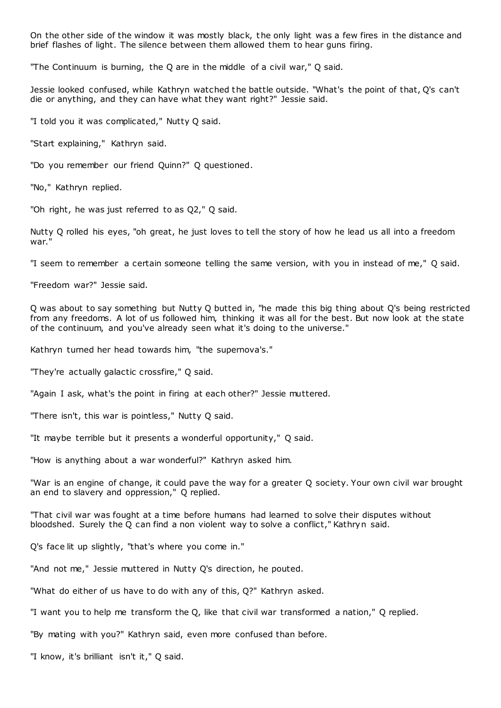On the other side of the window it was mostly black, the only light was a few fires in the distance and brief flashes of light. The silence between them allowed them to hear guns firing.

"The Continuum is burning, the Q are in the middle of a civil war," Q said.

Jessie looked confused, while Kathryn watched the battle outside. "What's the point of that, Q's can't die or anything, and they can have what they want right?" Jessie said.

"I told you it was complicated," Nutty Q said.

"Start explaining," Kathryn said.

"Do you remember our friend Quinn?" Q questioned.

"No," Kathryn replied.

"Oh right, he was just referred to as Q2," Q said.

Nutty Q rolled his eyes, "oh great, he just loves to tell the story of how he lead us all into a freedom war."

"I seem to remember a certain someone telling the same version, with you in instead of me," Q said.

"Freedom war?" Jessie said.

Q was about to say something but Nutty Q butted in, "he made this big thing about Q's being restricted from any freedoms. A lot of us followed him, thinking it was all for the best. But now look at the state of the continuum, and you've already seen what it's doing to the universe."

Kathryn turned her head towards him, "the supernova's."

"They're actually galactic crossfire," Q said.

"Again I ask, what's the point in firing at each other?" Jessie muttered.

"There isn't, this war is pointless," Nutty Q said.

"It maybe terrible but it presents a wonderful opportunity," Q said.

"How is anything about a war wonderful?" Kathryn asked him.

"War is an engine of change, it could pave the way for a greater Q society. Your own civil war brought an end to slavery and oppression," Q replied.

"That civil war was fought at a time before humans had learned to solve their disputes without bloodshed. Surely the Q can find a non violent way to solve a conflict," Kathryn said.

Q's face lit up slightly, "that's where you come in."

"And not me," Jessie muttered in Nutty Q's direction, he pouted.

"What do either of us have to do with any of this, Q?" Kathryn asked.

"I want you to help me transform the Q, like that civil war transformed a nation," Q replied.

"By mating with you?" Kathryn said, even more confused than before.

"I know, it's brilliant isn't it," Q said.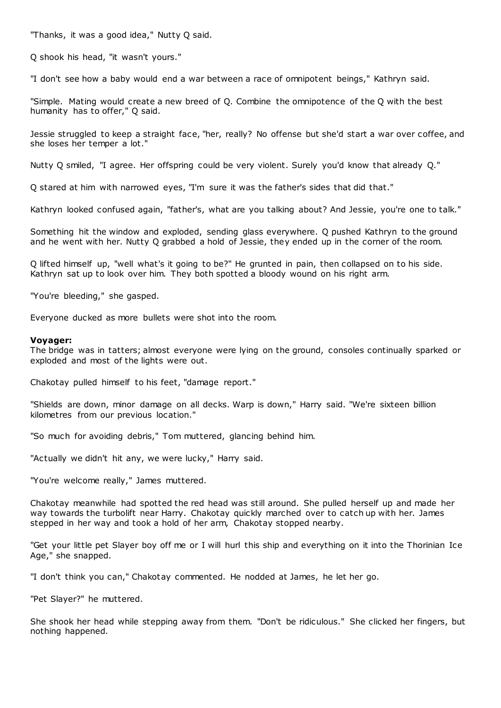"Thanks, it was a good idea," Nutty Q said.

Q shook his head, "it wasn't yours."

"I don't see how a baby would end a war between a race of omnipotent beings," Kathryn said.

"Simple. Mating would create a new breed of Q. Combine the omnipotence of the Q with the best humanity has to offer," Q said.

Jessie struggled to keep a straight face, "her, really? No offense but she'd start a war over coffee, and she loses her temper a lot."

Nutty Q smiled, "I agree. Her offspring could be very violent. Surely you'd know that already Q."

Q stared at him with narrowed eyes, "I'm sure it was the father's sides that did that."

Kathryn looked confused again, "father's, what are you talking about? And Jessie, you're one to talk."

Something hit the window and exploded, sending glass everywhere. Q pushed Kathryn to the ground and he went with her. Nutty Q grabbed a hold of Jessie, they ended up in the corner of the room.

Q lifted himself up, "well what's it going to be?" He grunted in pain, then collapsed on to his side. Kathryn sat up to look over him. They both spotted a bloody wound on his right arm.

"You're bleeding," she gasped.

Everyone ducked as more bullets were shot into the room.

# **Voyager:**

The bridge was in tatters; almost everyone were lying on the ground, consoles continually sparked or exploded and most of the lights were out.

Chakotay pulled himself to his feet, "damage report."

"Shields are down, minor damage on all decks. Warp is down," Harry said. "We're sixteen billion kilometres from our previous location."

"So much for avoiding debris," Tom muttered, glancing behind him.

"Actually we didn't hit any, we were lucky," Harry said.

"You're welcome really," James muttered.

Chakotay meanwhile had spotted the red head was still around. She pulled herself up and made her way towards the turbolift near Harry. Chakotay quickly marched over to catch up with her. James stepped in her way and took a hold of her arm, Chakotay stopped nearby.

"Get your little pet Slayer boy off me or I will hurl this ship and everything on it into the Thorinian Ice Age," she snapped.

"I don't think you can," Chakotay commented. He nodded at James, he let her go.

"Pet Slayer?" he muttered.

She shook her head while stepping away from them. "Don't be ridiculous." She clicked her fingers, but nothing happened.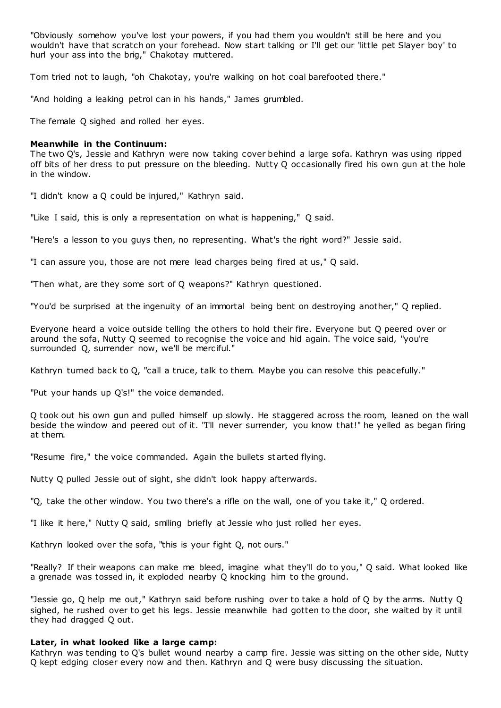"Obviously somehow you've lost your powers, if you had them you wouldn't still be here and you wouldn't have that scratch on your forehead. Now start talking or I'll get our 'little pet Slayer boy' to hurl your ass into the brig," Chakotay muttered.

Tom tried not to laugh, "oh Chakotay, you're walking on hot coal barefooted there."

"And holding a leaking petrol can in his hands," James grumbled.

The female Q sighed and rolled her eyes.

# **Meanwhile in the Continuum:**

The two Q's, Jessie and Kathryn were now taking cover behind a large sofa. Kathryn was using ripped off bits of her dress to put pressure on the bleeding. Nutty Q occasionally fired his own gun at the hole in the window.

"I didn't know a Q could be injured," Kathryn said.

"Like I said, this is only a representation on what is happening," Q said.

"Here's a lesson to you guys then, no representing. What's the right word?" Jessie said.

"I can assure you, those are not mere lead charges being fired at us," Q said.

"Then what, are they some sort of Q weapons?" Kathryn questioned.

"You'd be surprised at the ingenuity of an immortal being bent on destroying another," Q replied.

Everyone heard a voice outside telling the others to hold their fire. Everyone but Q peered over or around the sofa, Nutty Q seemed to recognise the voice and hid again. The voice said, "you're surrounded Q, surrender now, we'll be merciful."

Kathryn turned back to Q, "call a truce, talk to them. Maybe you can resolve this peacefully."

"Put your hands up Q's!" the voice demanded.

Q took out his own gun and pulled himself up slowly. He staggered across the room, leaned on the wall beside the window and peered out of it. "I'll never surrender, you know that!" he yelled as began firing at them.

"Resume fire," the voice commanded. Again the bullets started flying.

Nutty Q pulled Jessie out of sight, she didn't look happy afterwards.

"Q, take the other window. You two there's a rifle on the wall, one of you take it," Q ordered.

"I like it here," Nutty Q said, smiling briefly at Jessie who just rolled her eyes.

Kathryn looked over the sofa, "this is your fight Q, not ours."

"Really? If their weapons can make me bleed, imagine what they'll do to you," Q said. What looked like a grenade was tossed in, it exploded nearby Q knocking him to the ground.

"Jessie go, Q help me out," Kathryn said before rushing over to take a hold of Q by the arms. Nutty Q sighed, he rushed over to get his legs. Jessie meanwhile had gotten to the door, she waited by it until they had dragged Q out.

# **Later, in what looked like a large camp:**

Kathryn was tending to Q's bullet wound nearby a camp fire. Jessie was sitting on the other side, Nutty Q kept edging closer every now and then. Kathryn and Q were busy discussing the situation.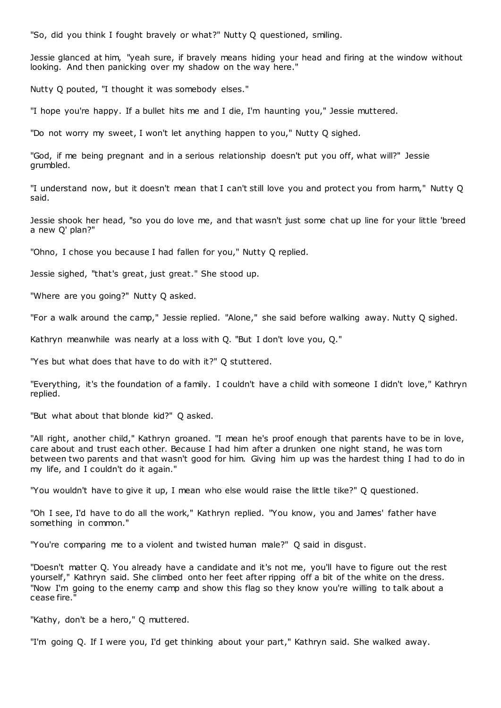"So, did you think I fought bravely or what?" Nutty Q questioned, smiling.

Jessie glanced at him, "yeah sure, if bravely means hiding your head and firing at the window without looking. And then panicking over my shadow on the way here."

Nutty Q pouted, "I thought it was somebody elses."

"I hope you're happy. If a bullet hits me and I die, I'm haunting you," Jessie muttered.

"Do not worry my sweet, I won't let anything happen to you," Nutty Q sighed.

"God, if me being pregnant and in a serious relationship doesn't put you off, what will?" Jessie grumbled.

"I understand now, but it doesn't mean that I can't still love you and protect you from harm," Nutty Q said.

Jessie shook her head, "so you do love me, and that wasn't just some chat up line for your little 'breed a new Q' plan?"

"Ohno, I chose you because I had fallen for you," Nutty Q replied.

Jessie sighed, "that's great, just great." She stood up.

"Where are you going?" Nutty Q asked.

"For a walk around the camp," Jessie replied. "Alone," she said before walking away. Nutty Q sighed.

Kathryn meanwhile was nearly at a loss with Q. "But I don't love you, Q."

"Yes but what does that have to do with it?" Q stuttered.

"Everything, it's the foundation of a family. I couldn't have a child with someone I didn't love," Kathryn replied.

"But what about that blonde kid?" Q asked.

"All right, another child," Kathryn groaned. "I mean he's proof enough that parents have to be in love, care about and trust each other. Because I had him after a drunken one night stand, he was torn between two parents and that wasn't good for him. Giving him up was the hardest thing I had to do in my life, and I couldn't do it again."

"You wouldn't have to give it up, I mean who else would raise the little tike?" Q questioned.

"Oh I see, I'd have to do all the work," Kathryn replied. "You know, you and James' father have something in common."

"You're comparing me to a violent and twisted human male?" Q said in disgust.

"Doesn't matter Q. You already have a candidate and it's not me, you'll have to figure out the rest yourself," Kathryn said. She climbed onto her feet after ripping off a bit of the white on the dress. "Now I'm going to the enemy camp and show this flag so they know you're willing to talk about a cease fire."

"Kathy, don't be a hero," Q muttered.

"I'm going Q. If I were you, I'd get thinking about your part," Kathryn said. She walked away.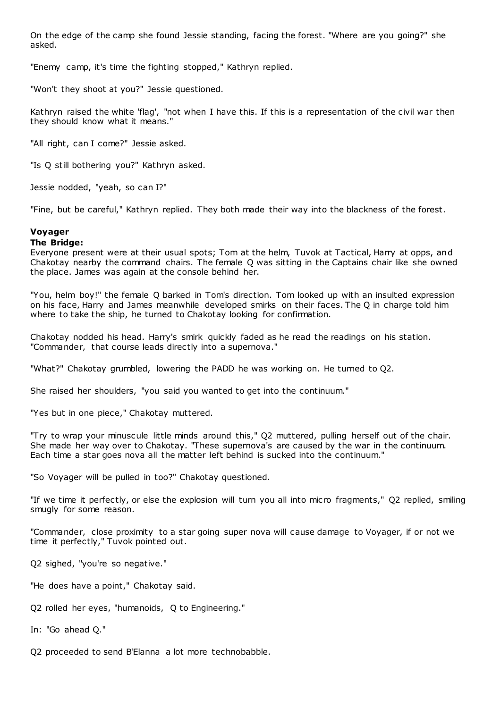On the edge of the camp she found Jessie standing, facing the forest. "Where are you going?" she asked.

"Enemy camp, it's time the fighting stopped," Kathryn replied.

"Won't they shoot at you?" Jessie questioned.

Kathryn raised the white 'flag', "not when I have this. If this is a representation of the civil war then they should know what it means."

"All right, can I come?" Jessie asked.

"Is Q still bothering you?" Kathryn asked.

Jessie nodded, "yeah, so can I?"

"Fine, but be careful," Kathryn replied. They both made their way into the blackness of the forest.

# **Voyager**

# **The Bridge:**

Everyone present were at their usual spots; Tom at the helm, Tuvok at Tactical, Harry at opps, and Chakotay nearby the command chairs. The female Q was sitting in the Captains chair like she owned the place. James was again at the console behind her.

"You, helm boy!" the female Q barked in Tom's direction. Tom looked up with an insulted expression on his face, Harry and James meanwhile developed smirks on their faces. The Q in charge told him where to take the ship, he turned to Chakotay looking for confirmation.

Chakotay nodded his head. Harry's smirk quickly faded as he read the readings on his station. "Commander, that course leads directly into a supernova."

"What?" Chakotay grumbled, lowering the PADD he was working on. He turned to Q2.

She raised her shoulders, "you said you wanted to get into the continuum."

"Yes but in one piece," Chakotay muttered.

"Try to wrap your minuscule little minds around this," Q2 muttered, pulling herself out of the chair. She made her way over to Chakotay. "These supernova's are caused by the war in the continuum. Each time a star goes nova all the matter left behind is sucked into the continuum."

"So Voyager will be pulled in too?" Chakotay questioned.

"If we time it perfectly, or else the explosion will turn you all into micro fragments," Q2 replied, smiling smugly for some reason.

"Commander, close proximity to a star going super nova will cause damage to Voyager, if or not we time it perfectly," Tuvok pointed out.

Q2 sighed, "you're so negative."

"He does have a point," Chakotay said.

Q2 rolled her eyes, "humanoids, Q to Engineering."

In: "Go ahead Q."

Q2 proceeded to send B'Elanna a lot more technobabble.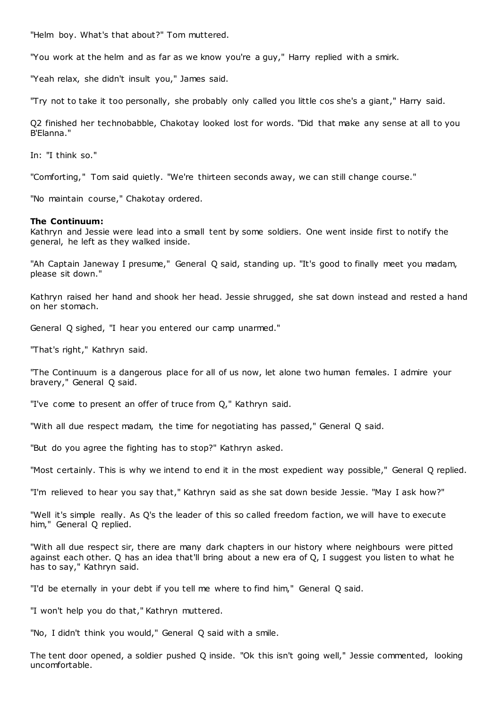"Helm boy. What's that about?" Tom muttered.

"You work at the helm and as far as we know you're a guy," Harry replied with a smirk.

"Yeah relax, she didn't insult you," James said.

"Try not to take it too personally, she probably only called you little cos she's a giant," Harry said.

Q2 finished her technobabble, Chakotay looked lost for words. "Did that make any sense at all to you B'Elanna."

In: "I think so."

"Comforting," Tom said quietly. "We're thirteen seconds away, we can still change course."

"No maintain course," Chakotay ordered.

### **The Continuum:**

Kathryn and Jessie were lead into a small tent by some soldiers. One went inside first to notify the general, he left as they walked inside.

"Ah Captain Janeway I presume," General Q said, standing up. "It's good to finally meet you madam, please sit down."

Kathryn raised her hand and shook her head. Jessie shrugged, she sat down instead and rested a hand on her stomach.

General Q sighed, "I hear you entered our camp unarmed."

"That's right," Kathryn said.

"The Continuum is a dangerous place for all of us now, let alone two human females. I admire your bravery," General Q said.

"I've come to present an offer of truce from Q," Kathryn said.

"With all due respect madam, the time for negotiating has passed," General Q said.

"But do you agree the fighting has to stop?" Kathryn asked.

"Most certainly. This is why we intend to end it in the most expedient way possible," General Q replied.

"I'm relieved to hear you say that," Kathryn said as she sat down beside Jessie. "May I ask how?"

"Well it's simple really. As Q's the leader of this so called freedom faction, we will have to execute him," General Q replied.

"With all due respect sir, there are many dark chapters in our history where neighbours were pitted against each other. Q has an idea that'll bring about a new era of Q, I suggest you listen to what he has to say," Kathryn said.

"I'd be eternally in your debt if you tell me where to find him," General Q said.

"I won't help you do that," Kathryn muttered.

"No, I didn't think you would," General Q said with a smile.

The tent door opened, a soldier pushed Q inside. "Ok this isn't going well," Jessie commented, looking uncomfortable.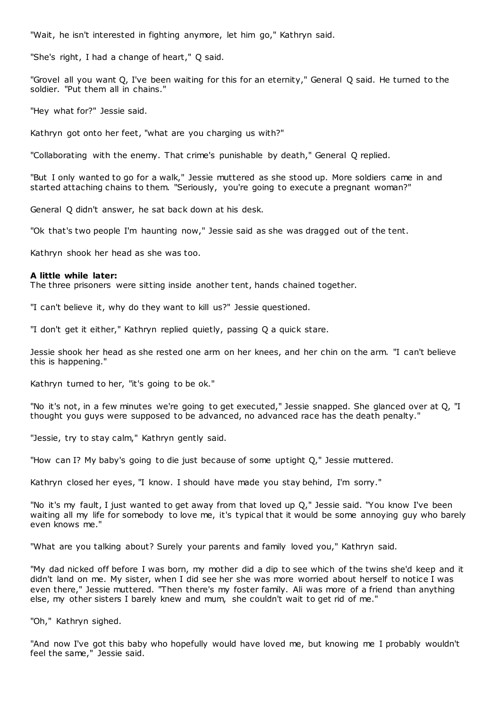"Wait, he isn't interested in fighting anymore, let him go," Kathryn said.

"She's right, I had a change of heart," Q said.

"Grovel all you want Q, I've been waiting for this for an eternity," General Q said. He turned to the soldier. "Put them all in chains."

"Hey what for?" Jessie said.

Kathryn got onto her feet, "what are you charging us with?"

"Collaborating with the enemy. That crime's punishable by death," General Q replied.

"But I only wanted to go for a walk," Jessie muttered as she stood up. More soldiers came in and started attaching chains to them. "Seriously, you're going to execute a pregnant woman?"

General Q didn't answer, he sat back down at his desk.

"Ok that's two people I'm haunting now," Jessie said as she was dragged out of the tent.

Kathryn shook her head as she was too.

# **A little while later:**

The three prisoners were sitting inside another tent, hands chained together.

"I can't believe it, why do they want to kill us?" Jessie questioned.

"I don't get it either," Kathryn replied quietly, passing Q a quick stare.

Jessie shook her head as she rested one arm on her knees, and her chin on the arm. "I can't believe this is happening."

Kathryn turned to her, "it's going to be ok."

"No it's not, in a few minutes we're going to get executed," Jessie snapped. She glanced over at Q, "I thought you guys were supposed to be advanced, no advanced race has the death penalty."

"Jessie, try to stay calm," Kathryn gently said.

"How can I? My baby's going to die just because of some uptight Q," Jessie muttered.

Kathryn closed her eyes, "I know. I should have made you stay behind, I'm sorry."

"No it's my fault, I just wanted to get away from that loved up Q," Jessie said. "You know I've been waiting all my life for somebody to love me, it's typical that it would be some annoying guy who barely even knows me."

"What are you talking about? Surely your parents and family loved you," Kathryn said.

"My dad nicked off before I was born, my mother did a dip to see which of the twins she'd keep and it didn't land on me. My sister, when I did see her she was more worried about herself to notice I was even there," Jessie muttered. "Then there's my foster family. Ali was more of a friend than anything else, my other sisters I barely knew and mum, she couldn't wait to get rid of me."

"Oh," Kathryn sighed.

"And now I've got this baby who hopefully would have loved me, but knowing me I probably wouldn't feel the same," Jessie said.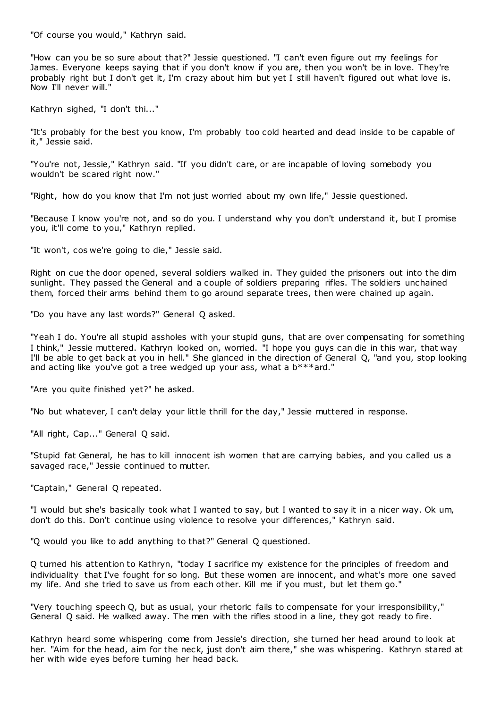"Of course you would," Kathryn said.

"How can you be so sure about that?" Jessie questioned. "I can't even figure out my feelings for James. Everyone keeps saying that if you don't know if you are, then you won't be in love. They're probably right but I don't get it, I'm crazy about him but yet I still haven't figured out what love is. Now I'll never will."

Kathryn sighed, "I don't thi..."

"It's probably for the best you know, I'm probably too cold hearted and dead inside to be capable of it," Jessie said.

"You're not, Jessie," Kathryn said. "If you didn't care, or are incapable of loving somebody you wouldn't be scared right now."

"Right, how do you know that I'm not just worried about my own life," Jessie questioned.

"Because I know you're not, and so do you. I understand why you don't understand it, but I promise you, it'll come to you," Kathryn replied.

"It won't, cos we're going to die," Jessie said.

Right on cue the door opened, several soldiers walked in. They guided the prisoners out into the dim sunlight. They passed the General and a couple of soldiers preparing rifles. The soldiers unchained them, forced their arms behind them to go around separate trees, then were chained up again.

"Do you have any last words?" General Q asked.

"Yeah I do. You're all stupid assholes with your stupid guns, that are over compensating for something I think," Jessie muttered. Kathryn looked on, worried. "I hope you guys can die in this war, that way I'll be able to get back at you in hell." She glanced in the direction of General Q, "and you, stop looking and acting like you've got a tree wedged up your ass, what a  $b***$  ard."

"Are you quite finished yet?" he asked.

"No but whatever, I can't delay your little thrill for the day," Jessie muttered in response.

"All right, Cap..." General Q said.

"Stupid fat General, he has to kill innocent ish women that are carrying babies, and you called us a savaged race," Jessie continued to mutter.

"Captain," General Q repeated.

"I would but she's basically took what I wanted to say, but I wanted to say it in a nicer way. Ok um, don't do this. Don't continue using violence to resolve your differences," Kathryn said.

"Q would you like to add anything to that?" General Q questioned.

Q turned his attention to Kathryn, "today I sacrifice my existence for the principles of freedom and individuality that I've fought for so long. But these women are innocent, and what's more one saved my life. And she tried to save us from each other. Kill me if you must, but let them go."

"Very touching speech Q, but as usual, your rhetoric fails to compensate for your irresponsibility," General Q said. He walked away. The men with the rifles stood in a line, they got ready to fire.

Kathryn heard some whispering come from Jessie's direction, she turned her head around to look at her. "Aim for the head, aim for the neck, just don't aim there," she was whispering. Kathryn stared at her with wide eyes before turning her head back.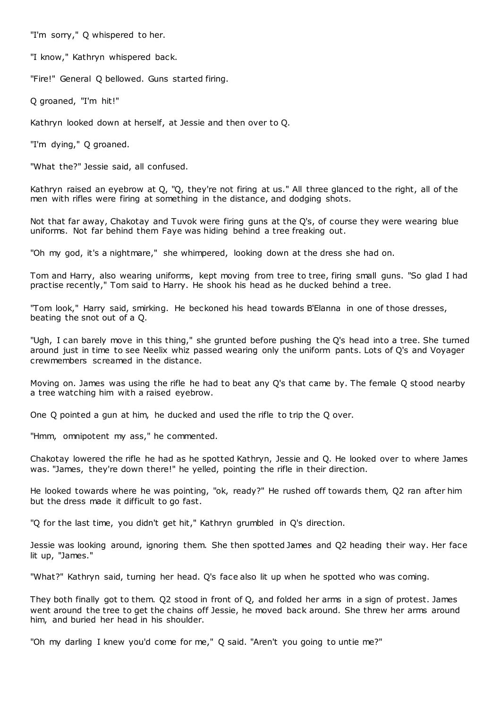"I'm sorry," Q whispered to her.

"I know," Kathryn whispered back.

"Fire!" General Q bellowed. Guns started firing.

Q groaned, "I'm hit!"

Kathryn looked down at herself, at Jessie and then over to Q.

"I'm dying," Q groaned.

"What the?" Jessie said, all confused.

Kathryn raised an eyebrow at Q, "Q, they're not firing at us." All three glanced to the right, all of the men with rifles were firing at something in the distance, and dodging shots.

Not that far away, Chakotay and Tuvok were firing guns at the Q's, of course they were wearing blue uniforms. Not far behind them Faye was hiding behind a tree freaking out.

"Oh my god, it's a nightmare," she whimpered, looking down at the dress she had on.

Tom and Harry, also wearing uniforms, kept moving from tree to tree, firing small guns. "So glad I had practise recently," Tom said to Harry. He shook his head as he ducked behind a tree.

"Tom look," Harry said, smirking. He beckoned his head towards B'Elanna in one of those dresses, beating the snot out of a Q.

"Ugh, I can barely move in this thing," she grunted before pushing the Q's head into a tree. She turned around just in time to see Neelix whiz passed wearing only the uniform pants. Lots of Q's and Voyager crewmembers screamed in the distance.

Moving on. James was using the rifle he had to beat any Q's that came by. The female Q stood nearby a tree watching him with a raised eyebrow.

One Q pointed a gun at him, he ducked and used the rifle to trip the Q over.

"Hmm, omnipotent my ass," he commented.

Chakotay lowered the rifle he had as he spotted Kathryn, Jessie and Q. He looked over to where James was. "James, they're down there!" he yelled, pointing the rifle in their direction.

He looked towards where he was pointing, "ok, ready?" He rushed off towards them, Q2 ran after him but the dress made it difficult to go fast.

"Q for the last time, you didn't get hit," Kathryn grumbled in Q's direction.

Jessie was looking around, ignoring them. She then spotted James and Q2 heading their way. Her face lit up, "James."

"What?" Kathryn said, turning her head. Q's face also lit up when he spotted who was coming.

They both finally got to them. Q2 stood in front of Q, and folded her arms in a sign of protest. James went around the tree to get the chains off Jessie, he moved back around. She threw her arms around him, and buried her head in his shoulder.

"Oh my darling I knew you'd come for me," Q said. "Aren't you going to untie me?"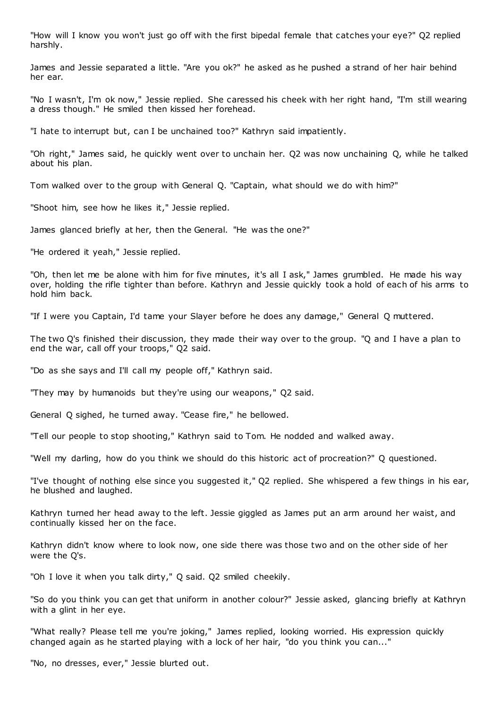"How will I know you won't just go off with the first bipedal female that catches your eye?" Q2 replied harshly.

James and Jessie separated a little. "Are you ok?" he asked as he pushed a strand of her hair behind her ear.

"No I wasn't, I'm ok now," Jessie replied. She caressed his cheek with her right hand, "I'm still wearing a dress though." He smiled then kissed her forehead.

"I hate to interrupt but, can I be unchained too?" Kathryn said impatiently.

"Oh right," James said, he quickly went over to unchain her. Q2 was now unchaining Q, while he talked about his plan.

Tom walked over to the group with General Q. "Captain, what should we do with him?"

"Shoot him, see how he likes it," Jessie replied.

James glanced briefly at her, then the General. "He was the one?"

"He ordered it yeah," Jessie replied.

"Oh, then let me be alone with him for five minutes, it's all I ask," James grumbled. He made his way over, holding the rifle tighter than before. Kathryn and Jessie quickly took a hold of each of his arms to hold him back.

"If I were you Captain, I'd tame your Slayer before he does any damage," General Q muttered.

The two Q's finished their discussion, they made their way over to the group. "Q and I have a plan to end the war, call off your troops," Q2 said.

"Do as she says and I'll call my people off," Kathryn said.

"They may by humanoids but they're using our weapons," Q2 said.

General Q sighed, he turned away. "Cease fire," he bellowed.

"Tell our people to stop shooting," Kathryn said to Tom. He nodded and walked away.

"Well my darling, how do you think we should do this historic act of procreation?" Q questioned.

"I've thought of nothing else since you suggested it," Q2 replied. She whispered a few things in his ear, he blushed and laughed.

Kathryn turned her head away to the left. Jessie giggled as James put an arm around her waist, and continually kissed her on the face.

Kathryn didn't know where to look now, one side there was those two and on the other side of her were the Q's.

"Oh I love it when you talk dirty," Q said. Q2 smiled cheekily.

"So do you think you can get that uniform in another colour?" Jessie asked, glancing briefly at Kathryn with a glint in her eye.

"What really? Please tell me you're joking," James replied, looking worried. His expression quickly changed again as he started playing with a lock of her hair, "do you think you can..."

"No, no dresses, ever," Jessie blurted out.